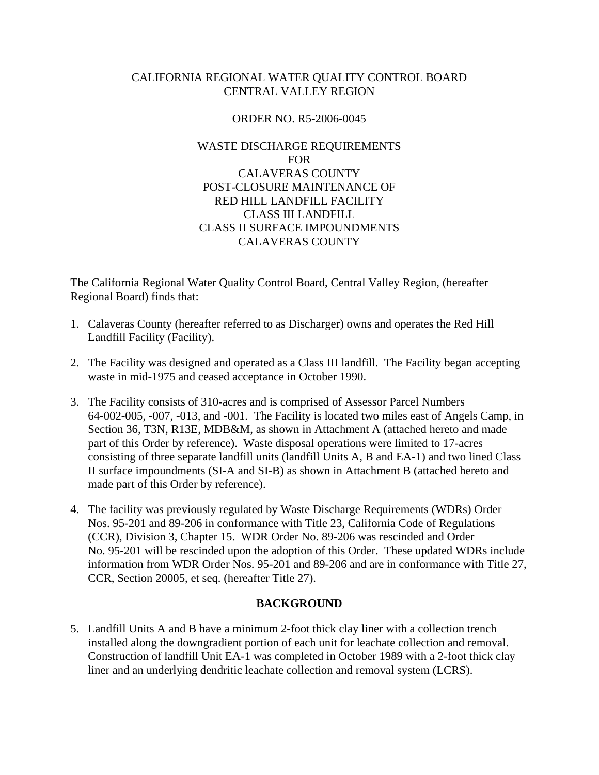# CALIFORNIA REGIONAL WATER QUALITY CONTROL BOARD CENTRAL VALLEY REGION

# ORDER NO. R5-2006-0045

# WASTE DISCHARGE REQUIREMENTS FOR CALAVERAS COUNTY POST-CLOSURE MAINTENANCE OF RED HILL LANDFILL FACILITY CLASS III LANDFILL CLASS II SURFACE IMPOUNDMENTS CALAVERAS COUNTY

The California Regional Water Quality Control Board, Central Valley Region, (hereafter Regional Board) finds that:

- 1. Calaveras County (hereafter referred to as Discharger) owns and operates the Red Hill Landfill Facility (Facility).
- 2. The Facility was designed and operated as a Class III landfill. The Facility began accepting waste in mid-1975 and ceased acceptance in October 1990.
- 3. The Facility consists of 310-acres and is comprised of Assessor Parcel Numbers 64-002-005, -007, -013, and -001. The Facility is located two miles east of Angels Camp, in Section 36, T3N, R13E, MDB&M, as shown in Attachment A (attached hereto and made part of this Order by reference). Waste disposal operations were limited to 17-acres consisting of three separate landfill units (landfill Units A, B and EA-1) and two lined Class II surface impoundments (SI-A and SI-B) as shown in Attachment B (attached hereto and made part of this Order by reference).
- 4. The facility was previously regulated by Waste Discharge Requirements (WDRs) Order Nos. 95-201 and 89-206 in conformance with Title 23, California Code of Regulations (CCR), Division 3, Chapter 15. WDR Order No. 89-206 was rescinded and Order No. 95-201 will be rescinded upon the adoption of this Order. These updated WDRs include information from WDR Order Nos. 95-201 and 89-206 and are in conformance with Title 27, CCR, Section 20005, et seq. (hereafter Title 27).

### **BACKGROUND**

5. Landfill Units A and B have a minimum 2-foot thick clay liner with a collection trench installed along the downgradient portion of each unit for leachate collection and removal. Construction of landfill Unit EA-1 was completed in October 1989 with a 2-foot thick clay liner and an underlying dendritic leachate collection and removal system (LCRS).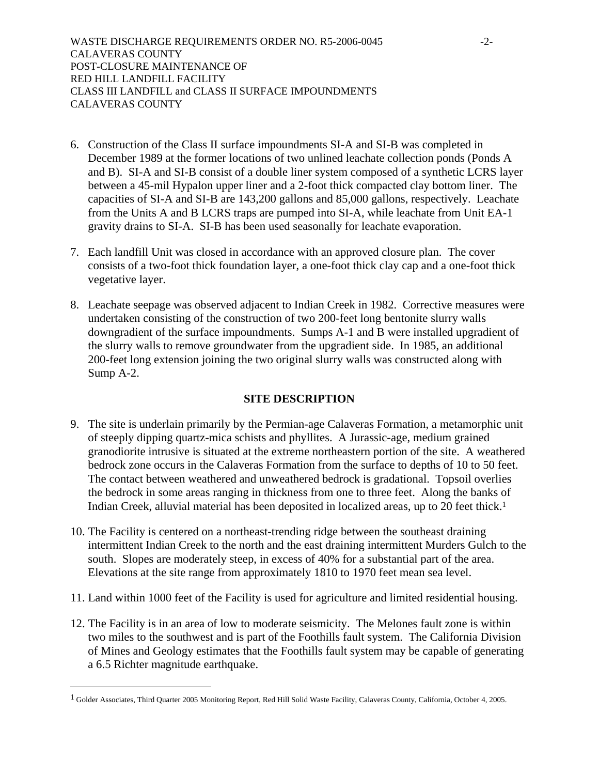WASTE DISCHARGE REQUIREMENTS ORDER NO. R5-2006-0045 -2- CALAVERAS COUNTY POST-CLOSURE MAINTENANCE OF RED HILL LANDFILL FACILITY CLASS III LANDFILL and CLASS II SURFACE IMPOUNDMENTS CALAVERAS COUNTY

- 6. Construction of the Class II surface impoundments SI-A and SI-B was completed in December 1989 at the former locations of two unlined leachate collection ponds (Ponds A and B). SI-A and SI-B consist of a double liner system composed of a synthetic LCRS layer between a 45-mil Hypalon upper liner and a 2-foot thick compacted clay bottom liner. The capacities of SI-A and SI-B are 143,200 gallons and 85,000 gallons, respectively. Leachate from the Units A and B LCRS traps are pumped into SI-A, while leachate from Unit EA-1 gravity drains to SI-A. SI-B has been used seasonally for leachate evaporation.
- 7. Each landfill Unit was closed in accordance with an approved closure plan. The cover consists of a two-foot thick foundation layer, a one-foot thick clay cap and a one-foot thick vegetative layer.
- 8. Leachate seepage was observed adjacent to Indian Creek in 1982. Corrective measures were undertaken consisting of the construction of two 200-feet long bentonite slurry walls downgradient of the surface impoundments. Sumps A-1 and B were installed upgradient of the slurry walls to remove groundwater from the upgradient side. In 1985, an additional 200-feet long extension joining the two original slurry walls was constructed along with Sump A-2.

### **SITE DESCRIPTION**

- 9. The site is underlain primarily by the Permian-age Calaveras Formation, a metamorphic unit of steeply dipping quartz-mica schists and phyllites. A Jurassic-age, medium grained granodiorite intrusive is situated at the extreme northeastern portion of the site. A weathered bedrock zone occurs in the Calaveras Formation from the surface to depths of 10 to 50 feet. The contact between weathered and unweathered bedrock is gradational. Topsoil overlies the bedrock in some areas ranging in thickness from one to three feet. Along the banks of Indian Creek, alluvial material has been deposited in localized areas, up to 20 feet thick.1
- 10. The Facility is centered on a northeast-trending ridge between the southeast draining intermittent Indian Creek to the north and the east draining intermittent Murders Gulch to the south. Slopes are moderately steep, in excess of 40% for a substantial part of the area. Elevations at the site range from approximately 1810 to 1970 feet mean sea level.
- 11. Land within 1000 feet of the Facility is used for agriculture and limited residential housing.
- 12. The Facility is in an area of low to moderate seismicity. The Melones fault zone is within two miles to the southwest and is part of the Foothills fault system. The California Division of Mines and Geology estimates that the Foothills fault system may be capable of generating a 6.5 Richter magnitude earthquake.

1

<sup>&</sup>lt;sup>1</sup> Golder Associates, Third Quarter 2005 Monitoring Report, Red Hill Solid Waste Facility, Calaveras County, California, October 4, 2005.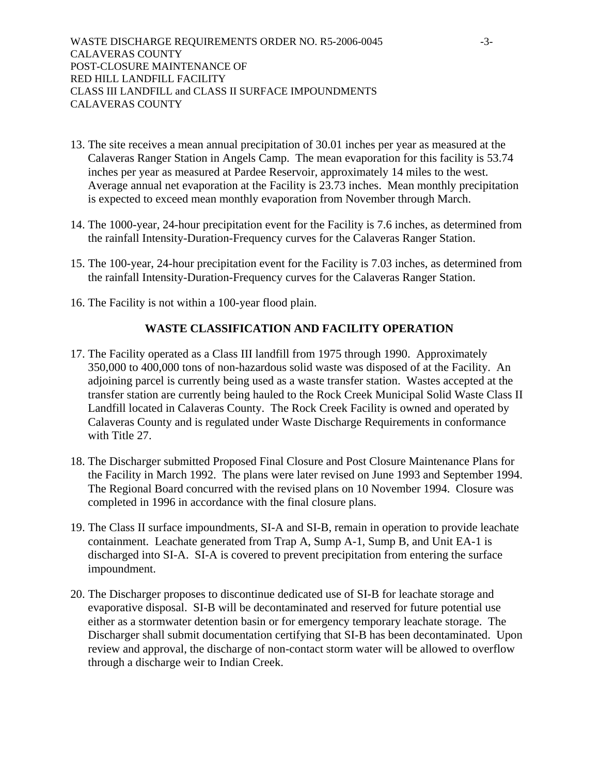WASTE DISCHARGE REQUIREMENTS ORDER NO. R5-2006-0045 -3- CALAVERAS COUNTY POST-CLOSURE MAINTENANCE OF RED HILL LANDFILL FACILITY CLASS III LANDFILL and CLASS II SURFACE IMPOUNDMENTS CALAVERAS COUNTY

- 13. The site receives a mean annual precipitation of 30.01 inches per year as measured at the Calaveras Ranger Station in Angels Camp. The mean evaporation for this facility is 53.74 inches per year as measured at Pardee Reservoir, approximately 14 miles to the west. Average annual net evaporation at the Facility is 23.73 inches. Mean monthly precipitation is expected to exceed mean monthly evaporation from November through March.
- 14. The 1000-year, 24-hour precipitation event for the Facility is 7.6 inches, as determined from the rainfall Intensity-Duration-Frequency curves for the Calaveras Ranger Station.
- 15. The 100-year, 24-hour precipitation event for the Facility is 7.03 inches, as determined from the rainfall Intensity-Duration-Frequency curves for the Calaveras Ranger Station.
- 16. The Facility is not within a 100-year flood plain.

#### **WASTE CLASSIFICATION AND FACILITY OPERATION**

- 17. The Facility operated as a Class III landfill from 1975 through 1990. Approximately 350,000 to 400,000 tons of non-hazardous solid waste was disposed of at the Facility. An adjoining parcel is currently being used as a waste transfer station. Wastes accepted at the transfer station are currently being hauled to the Rock Creek Municipal Solid Waste Class II Landfill located in Calaveras County. The Rock Creek Facility is owned and operated by Calaveras County and is regulated under Waste Discharge Requirements in conformance with Title 27.
- 18. The Discharger submitted Proposed Final Closure and Post Closure Maintenance Plans for the Facility in March 1992. The plans were later revised on June 1993 and September 1994. The Regional Board concurred with the revised plans on 10 November 1994. Closure was completed in 1996 in accordance with the final closure plans.
- 19. The Class II surface impoundments, SI-A and SI-B, remain in operation to provide leachate containment. Leachate generated from Trap A, Sump A-1, Sump B, and Unit EA-1 is discharged into SI-A. SI-A is covered to prevent precipitation from entering the surface impoundment.
- 20. The Discharger proposes to discontinue dedicated use of SI-B for leachate storage and evaporative disposal. SI-B will be decontaminated and reserved for future potential use either as a stormwater detention basin or for emergency temporary leachate storage. The Discharger shall submit documentation certifying that SI-B has been decontaminated. Upon review and approval, the discharge of non-contact storm water will be allowed to overflow through a discharge weir to Indian Creek.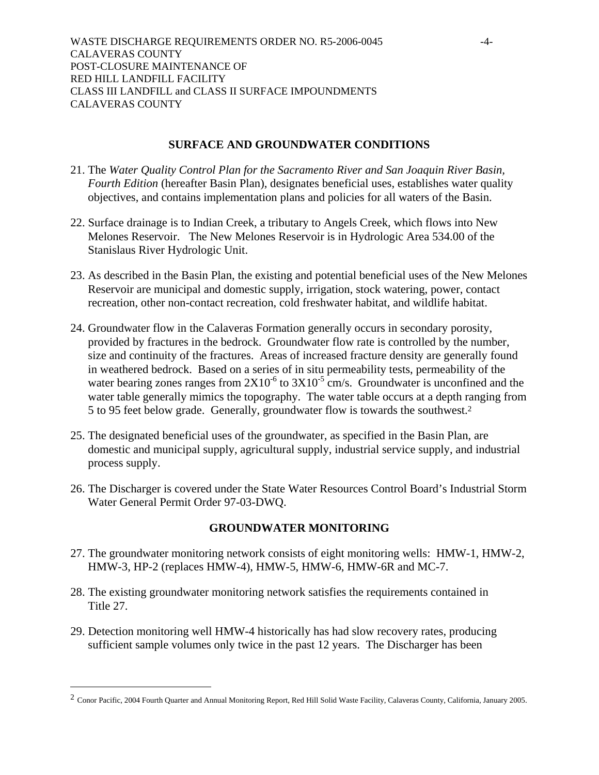#### **SURFACE AND GROUNDWATER CONDITIONS**

- 21. The *Water Quality Control Plan for the Sacramento River and San Joaquin River Basin, Fourth Edition* (hereafter Basin Plan), designates beneficial uses, establishes water quality objectives, and contains implementation plans and policies for all waters of the Basin.
- 22. Surface drainage is to Indian Creek, a tributary to Angels Creek, which flows into New Melones Reservoir. The New Melones Reservoir is in Hydrologic Area 534.00 of the Stanislaus River Hydrologic Unit.
- 23. As described in the Basin Plan, the existing and potential beneficial uses of the New Melones Reservoir are municipal and domestic supply, irrigation, stock watering, power, contact recreation, other non-contact recreation, cold freshwater habitat, and wildlife habitat.
- 24. Groundwater flow in the Calaveras Formation generally occurs in secondary porosity, provided by fractures in the bedrock. Groundwater flow rate is controlled by the number, size and continuity of the fractures. Areas of increased fracture density are generally found in weathered bedrock. Based on a series of in situ permeability tests, permeability of the water bearing zones ranges from  $2X10^{-6}$  to  $3X10^{-5}$  cm/s. Groundwater is unconfined and the water table generally mimics the topography. The water table occurs at a depth ranging from 5 to 95 feet below grade. Generally, groundwater flow is towards the southwest.2
- 25. The designated beneficial uses of the groundwater, as specified in the Basin Plan, are domestic and municipal supply, agricultural supply, industrial service supply, and industrial process supply.
- 26. The Discharger is covered under the State Water Resources Control Board's Industrial Storm Water General Permit Order 97-03-DWQ.

### **GROUNDWATER MONITORING**

- 27. The groundwater monitoring network consists of eight monitoring wells: HMW-1, HMW-2, HMW-3, HP-2 (replaces HMW-4), HMW-5, HMW-6, HMW-6R and MC-7.
- 28. The existing groundwater monitoring network satisfies the requirements contained in Title 27.
- 29. Detection monitoring well HMW-4 historically has had slow recovery rates, producing sufficient sample volumes only twice in the past 12 years. The Discharger has been

 $\overline{a}$ 

<sup>&</sup>lt;sup>2</sup> Conor Pacific, 2004 Fourth Quarter and Annual Monitoring Report, Red Hill Solid Waste Facility, Calaveras County, California, January 2005.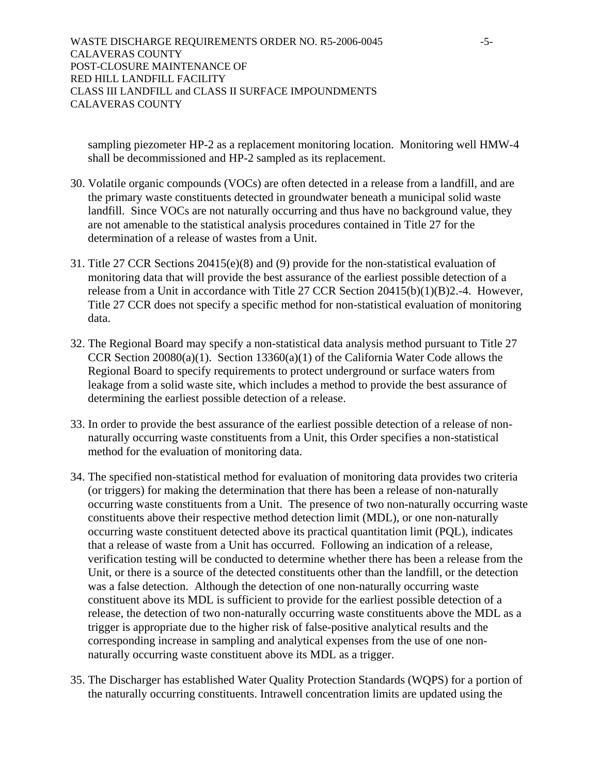WASTE DISCHARGE REQUIREMENTS ORDER NO. R5-2006-0045 -5- CALAVERAS COUNTY POST-CLOSURE MAINTENANCE OF RED HILL LANDFILL FACILITY CLASS III LANDFILL and CLASS II SURFACE IMPOUNDMENTS CALAVERAS COUNTY

sampling piezometer HP-2 as a replacement monitoring location. Monitoring well HMW-4 shall be decommissioned and HP-2 sampled as its replacement.

- 30. Volatile organic compounds (VOCs) are often detected in a release from a landfill, and are the primary waste constituents detected in groundwater beneath a municipal solid waste landfill. Since VOCs are not naturally occurring and thus have no background value, they are not amenable to the statistical analysis procedures contained in Title 27 for the determination of a release of wastes from a Unit.
- 31. Title 27 CCR Sections 20415(e)(8) and (9) provide for the non-statistical evaluation of monitoring data that will provide the best assurance of the earliest possible detection of a release from a Unit in accordance with Title 27 CCR Section 20415(b)(1)(B)2.-4. However, Title 27 CCR does not specify a specific method for non-statistical evaluation of monitoring data.
- 32. The Regional Board may specify a non-statistical data analysis method pursuant to Title 27 CCR Section 20080(a)(1). Section 13360(a)(1) of the California Water Code allows the Regional Board to specify requirements to protect underground or surface waters from leakage from a solid waste site, which includes a method to provide the best assurance of determining the earliest possible detection of a release.
- 33. In order to provide the best assurance of the earliest possible detection of a release of nonnaturally occurring waste constituents from a Unit, this Order specifies a non-statistical method for the evaluation of monitoring data.
- 34. The specified non-statistical method for evaluation of monitoring data provides two criteria (or triggers) for making the determination that there has been a release of non-naturally occurring waste constituents from a Unit. The presence of two non-naturally occurring waste constituents above their respective method detection limit (MDL), or one non-naturally occurring waste constituent detected above its practical quantitation limit (PQL), indicates that a release of waste from a Unit has occurred. Following an indication of a release, verification testing will be conducted to determine whether there has been a release from the Unit, or there is a source of the detected constituents other than the landfill, or the detection was a false detection. Although the detection of one non-naturally occurring waste constituent above its MDL is sufficient to provide for the earliest possible detection of a release, the detection of two non-naturally occurring waste constituents above the MDL as a trigger is appropriate due to the higher risk of false-positive analytical results and the corresponding increase in sampling and analytical expenses from the use of one nonnaturally occurring waste constituent above its MDL as a trigger.
- 35. The Discharger has established Water Quality Protection Standards (WQPS) for a portion of the naturally occurring constituents. Intrawell concentration limits are updated using the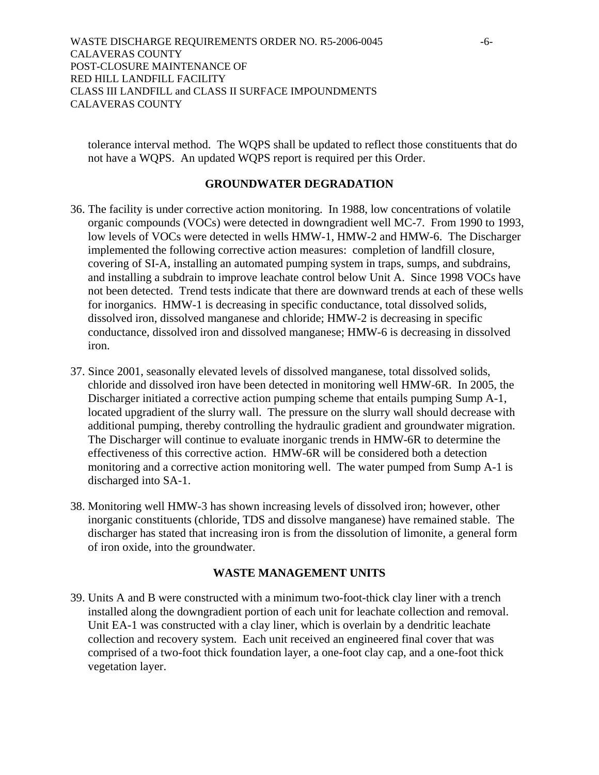tolerance interval method. The WQPS shall be updated to reflect those constituents that do not have a WQPS. An updated WQPS report is required per this Order.

#### **GROUNDWATER DEGRADATION**

- 36. The facility is under corrective action monitoring. In 1988, low concentrations of volatile organic compounds (VOCs) were detected in downgradient well MC-7. From 1990 to 1993, low levels of VOCs were detected in wells HMW-1, HMW-2 and HMW-6. The Discharger implemented the following corrective action measures: completion of landfill closure, covering of SI-A, installing an automated pumping system in traps, sumps, and subdrains, and installing a subdrain to improve leachate control below Unit A. Since 1998 VOCs have not been detected. Trend tests indicate that there are downward trends at each of these wells for inorganics. HMW-1 is decreasing in specific conductance, total dissolved solids, dissolved iron, dissolved manganese and chloride; HMW-2 is decreasing in specific conductance, dissolved iron and dissolved manganese; HMW-6 is decreasing in dissolved iron.
- 37. Since 2001, seasonally elevated levels of dissolved manganese, total dissolved solids, chloride and dissolved iron have been detected in monitoring well HMW-6R. In 2005, the Discharger initiated a corrective action pumping scheme that entails pumping Sump A-1, located upgradient of the slurry wall. The pressure on the slurry wall should decrease with additional pumping, thereby controlling the hydraulic gradient and groundwater migration. The Discharger will continue to evaluate inorganic trends in HMW-6R to determine the effectiveness of this corrective action. HMW-6R will be considered both a detection monitoring and a corrective action monitoring well. The water pumped from Sump A-1 is discharged into SA-1.
- 38. Monitoring well HMW-3 has shown increasing levels of dissolved iron; however, other inorganic constituents (chloride, TDS and dissolve manganese) have remained stable. The discharger has stated that increasing iron is from the dissolution of limonite, a general form of iron oxide, into the groundwater.

#### **WASTE MANAGEMENT UNITS**

39. Units A and B were constructed with a minimum two-foot-thick clay liner with a trench installed along the downgradient portion of each unit for leachate collection and removal. Unit EA-1 was constructed with a clay liner, which is overlain by a dendritic leachate collection and recovery system. Each unit received an engineered final cover that was comprised of a two-foot thick foundation layer, a one-foot clay cap, and a one-foot thick vegetation layer.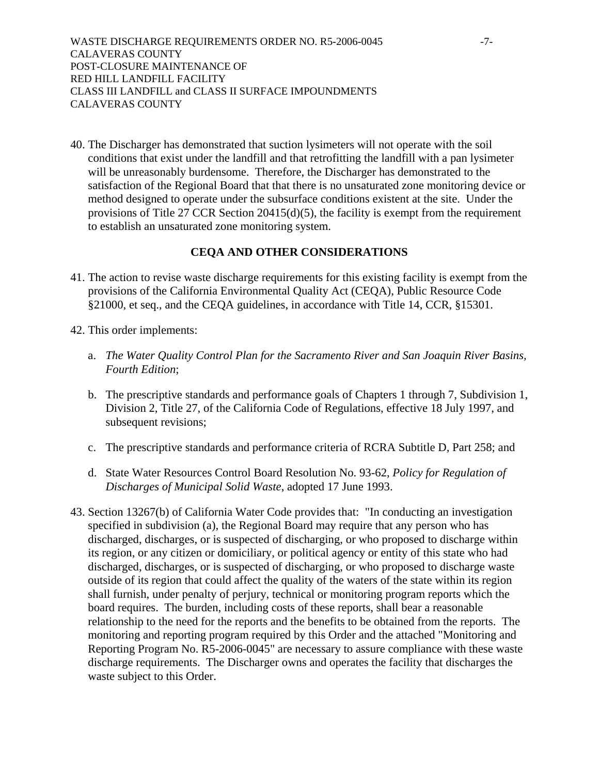WASTE DISCHARGE REQUIREMENTS ORDER NO. R5-2006-0045 -7- CALAVERAS COUNTY POST-CLOSURE MAINTENANCE OF RED HILL LANDFILL FACILITY CLASS III LANDFILL and CLASS II SURFACE IMPOUNDMENTS CALAVERAS COUNTY

40. The Discharger has demonstrated that suction lysimeters will not operate with the soil conditions that exist under the landfill and that retrofitting the landfill with a pan lysimeter will be unreasonably burdensome. Therefore, the Discharger has demonstrated to the satisfaction of the Regional Board that that there is no unsaturated zone monitoring device or method designed to operate under the subsurface conditions existent at the site. Under the provisions of Title 27 CCR Section 20415(d)(5), the facility is exempt from the requirement to establish an unsaturated zone monitoring system.

#### **CEQA AND OTHER CONSIDERATIONS**

- 41. The action to revise waste discharge requirements for this existing facility is exempt from the provisions of the California Environmental Quality Act (CEQA), Public Resource Code §21000, et seq., and the CEQA guidelines, in accordance with Title 14, CCR, §15301.
- 42. This order implements:
	- a. *The Water Quality Control Plan for the Sacramento River and San Joaquin River Basins, Fourth Edition*;
	- b. The prescriptive standards and performance goals of Chapters 1 through 7, Subdivision 1, Division 2, Title 27, of the California Code of Regulations, effective 18 July 1997, and subsequent revisions;
	- c. The prescriptive standards and performance criteria of RCRA Subtitle D, Part 258; and
	- d. State Water Resources Control Board Resolution No. 93-62, *Policy for Regulation of Discharges of Municipal Solid Waste*, adopted 17 June 1993.
- 43. Section 13267(b) of California Water Code provides that: "In conducting an investigation specified in subdivision (a), the Regional Board may require that any person who has discharged, discharges, or is suspected of discharging, or who proposed to discharge within its region, or any citizen or domiciliary, or political agency or entity of this state who had discharged, discharges, or is suspected of discharging, or who proposed to discharge waste outside of its region that could affect the quality of the waters of the state within its region shall furnish, under penalty of perjury, technical or monitoring program reports which the board requires. The burden, including costs of these reports, shall bear a reasonable relationship to the need for the reports and the benefits to be obtained from the reports. The monitoring and reporting program required by this Order and the attached "Monitoring and Reporting Program No. R5-2006-0045" are necessary to assure compliance with these waste discharge requirements. The Discharger owns and operates the facility that discharges the waste subject to this Order.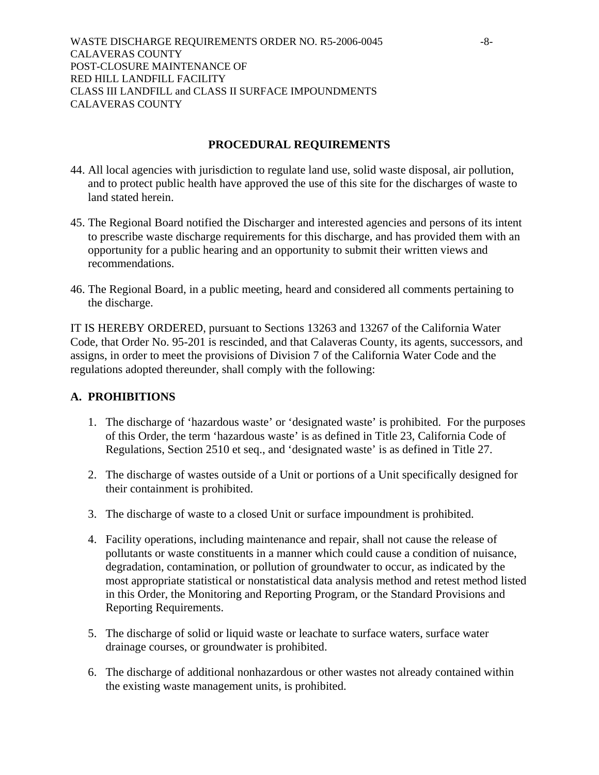WASTE DISCHARGE REQUIREMENTS ORDER NO. R5-2006-0045 -8-CALAVERAS COUNTY POST-CLOSURE MAINTENANCE OF RED HILL LANDFILL FACILITY CLASS III LANDFILL and CLASS II SURFACE IMPOUNDMENTS CALAVERAS COUNTY

#### **PROCEDURAL REQUIREMENTS**

- 44. All local agencies with jurisdiction to regulate land use, solid waste disposal, air pollution, and to protect public health have approved the use of this site for the discharges of waste to land stated herein.
- 45. The Regional Board notified the Discharger and interested agencies and persons of its intent to prescribe waste discharge requirements for this discharge, and has provided them with an opportunity for a public hearing and an opportunity to submit their written views and recommendations.
- 46. The Regional Board, in a public meeting, heard and considered all comments pertaining to the discharge.

IT IS HEREBY ORDERED, pursuant to Sections 13263 and 13267 of the California Water Code, that Order No. 95-201 is rescinded, and that Calaveras County, its agents, successors, and assigns, in order to meet the provisions of Division 7 of the California Water Code and the regulations adopted thereunder, shall comply with the following:

#### **A. PROHIBITIONS**

- 1. The discharge of 'hazardous waste' or 'designated waste' is prohibited. For the purposes of this Order, the term 'hazardous waste' is as defined in Title 23, California Code of Regulations, Section 2510 et seq., and 'designated waste' is as defined in Title 27.
- 2. The discharge of wastes outside of a Unit or portions of a Unit specifically designed for their containment is prohibited.
- 3. The discharge of waste to a closed Unit or surface impoundment is prohibited.
- 4. Facility operations, including maintenance and repair, shall not cause the release of pollutants or waste constituents in a manner which could cause a condition of nuisance, degradation, contamination, or pollution of groundwater to occur, as indicated by the most appropriate statistical or nonstatistical data analysis method and retest method listed in this Order, the Monitoring and Reporting Program, or the Standard Provisions and Reporting Requirements.
- 5. The discharge of solid or liquid waste or leachate to surface waters, surface water drainage courses, or groundwater is prohibited.
- 6. The discharge of additional nonhazardous or other wastes not already contained within the existing waste management units, is prohibited.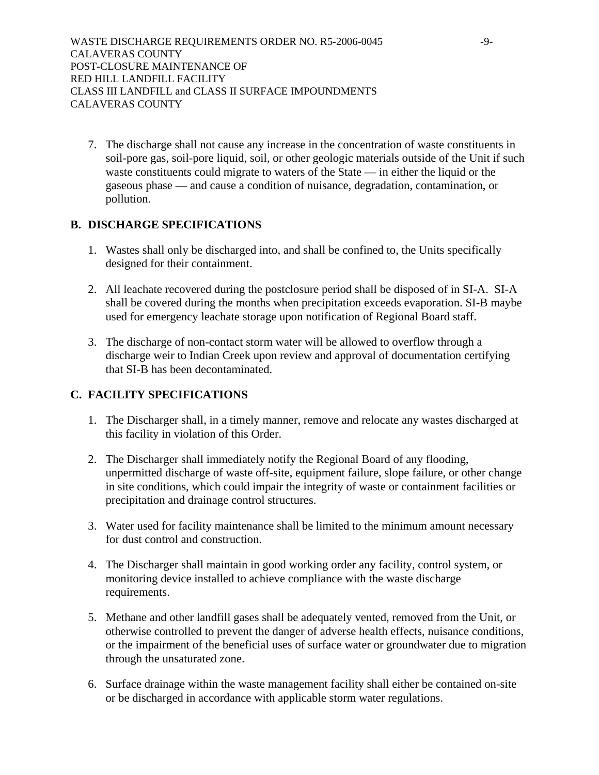7. The discharge shall not cause any increase in the concentration of waste constituents in soil-pore gas, soil-pore liquid, soil, or other geologic materials outside of the Unit if such waste constituents could migrate to waters of the State — in either the liquid or the gaseous phase — and cause a condition of nuisance, degradation, contamination, or pollution.

# **B. DISCHARGE SPECIFICATIONS**

- 1. Wastes shall only be discharged into, and shall be confined to, the Units specifically designed for their containment.
- 2. All leachate recovered during the postclosure period shall be disposed of in SI-A. SI-A shall be covered during the months when precipitation exceeds evaporation. SI-B maybe used for emergency leachate storage upon notification of Regional Board staff.
- 3. The discharge of non-contact storm water will be allowed to overflow through a discharge weir to Indian Creek upon review and approval of documentation certifying that SI-B has been decontaminated.

# **C. FACILITY SPECIFICATIONS**

- 1. The Discharger shall, in a timely manner, remove and relocate any wastes discharged at this facility in violation of this Order.
- 2. The Discharger shall immediately notify the Regional Board of any flooding, unpermitted discharge of waste off-site, equipment failure, slope failure, or other change in site conditions, which could impair the integrity of waste or containment facilities or precipitation and drainage control structures.
- 3. Water used for facility maintenance shall be limited to the minimum amount necessary for dust control and construction.
- 4. The Discharger shall maintain in good working order any facility, control system, or monitoring device installed to achieve compliance with the waste discharge requirements.
- 5. Methane and other landfill gases shall be adequately vented, removed from the Unit, or otherwise controlled to prevent the danger of adverse health effects, nuisance conditions, or the impairment of the beneficial uses of surface water or groundwater due to migration through the unsaturated zone.
- 6. Surface drainage within the waste management facility shall either be contained on-site or be discharged in accordance with applicable storm water regulations.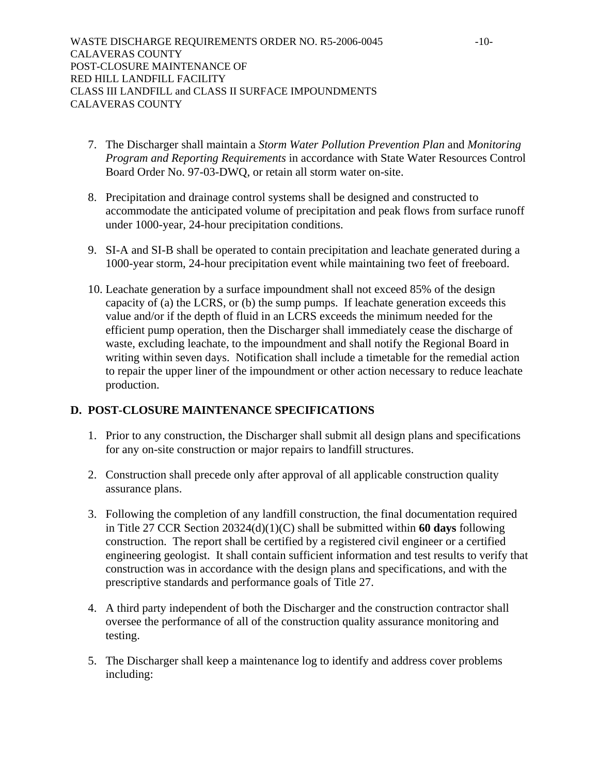- 7. The Discharger shall maintain a *Storm Water Pollution Prevention Plan* and *Monitoring Program and Reporting Requirements* in accordance with State Water Resources Control Board Order No. 97-03-DWQ, or retain all storm water on-site.
- 8. Precipitation and drainage control systems shall be designed and constructed to accommodate the anticipated volume of precipitation and peak flows from surface runoff under 1000-year, 24-hour precipitation conditions.
- 9. SI-A and SI-B shall be operated to contain precipitation and leachate generated during a 1000-year storm, 24-hour precipitation event while maintaining two feet of freeboard.
- 10. Leachate generation by a surface impoundment shall not exceed 85% of the design capacity of (a) the LCRS, or (b) the sump pumps. If leachate generation exceeds this value and/or if the depth of fluid in an LCRS exceeds the minimum needed for the efficient pump operation, then the Discharger shall immediately cease the discharge of waste, excluding leachate, to the impoundment and shall notify the Regional Board in writing within seven days. Notification shall include a timetable for the remedial action to repair the upper liner of the impoundment or other action necessary to reduce leachate production.

### **D. POST-CLOSURE MAINTENANCE SPECIFICATIONS**

- 1. Prior to any construction, the Discharger shall submit all design plans and specifications for any on-site construction or major repairs to landfill structures.
- 2. Construction shall precede only after approval of all applicable construction quality assurance plans.
- 3. Following the completion of any landfill construction, the final documentation required in Title 27 CCR Section 20324(d)(1)(C) shall be submitted within **60 days** following construction. The report shall be certified by a registered civil engineer or a certified engineering geologist. It shall contain sufficient information and test results to verify that construction was in accordance with the design plans and specifications, and with the prescriptive standards and performance goals of Title 27.
- 4. A third party independent of both the Discharger and the construction contractor shall oversee the performance of all of the construction quality assurance monitoring and testing.
- 5. The Discharger shall keep a maintenance log to identify and address cover problems including: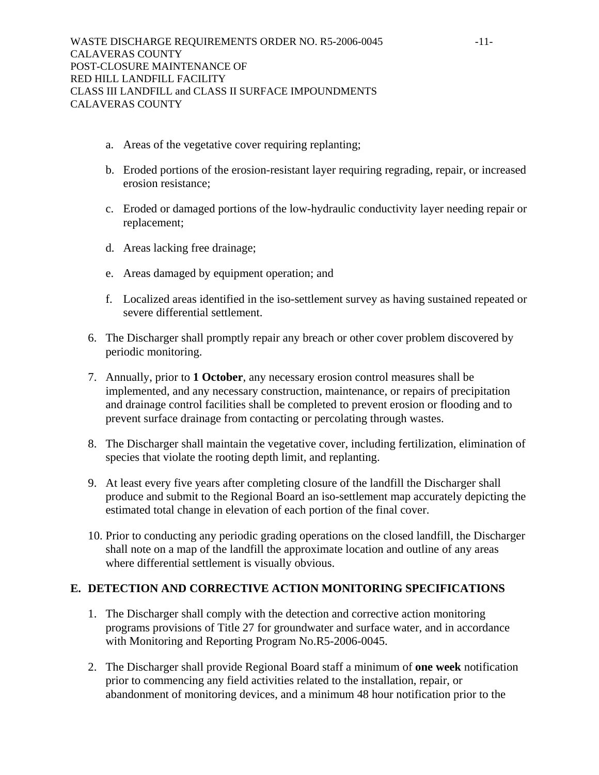- a. Areas of the vegetative cover requiring replanting;
- b. Eroded portions of the erosion-resistant layer requiring regrading, repair, or increased erosion resistance;
- c. Eroded or damaged portions of the low-hydraulic conductivity layer needing repair or replacement;
- d. Areas lacking free drainage;
- e. Areas damaged by equipment operation; and
- f. Localized areas identified in the iso-settlement survey as having sustained repeated or severe differential settlement.
- 6. The Discharger shall promptly repair any breach or other cover problem discovered by periodic monitoring.
- 7. Annually, prior to **1 October**, any necessary erosion control measures shall be implemented, and any necessary construction, maintenance, or repairs of precipitation and drainage control facilities shall be completed to prevent erosion or flooding and to prevent surface drainage from contacting or percolating through wastes.
- 8. The Discharger shall maintain the vegetative cover, including fertilization, elimination of species that violate the rooting depth limit, and replanting.
- 9. At least every five years after completing closure of the landfill the Discharger shall produce and submit to the Regional Board an iso-settlement map accurately depicting the estimated total change in elevation of each portion of the final cover.
- 10. Prior to conducting any periodic grading operations on the closed landfill, the Discharger shall note on a map of the landfill the approximate location and outline of any areas where differential settlement is visually obvious.

# **E. DETECTION AND CORRECTIVE ACTION MONITORING SPECIFICATIONS**

- 1. The Discharger shall comply with the detection and corrective action monitoring programs provisions of Title 27 for groundwater and surface water, and in accordance with Monitoring and Reporting Program No.R5-2006-0045.
- 2. The Discharger shall provide Regional Board staff a minimum of **one week** notification prior to commencing any field activities related to the installation, repair, or abandonment of monitoring devices, and a minimum 48 hour notification prior to the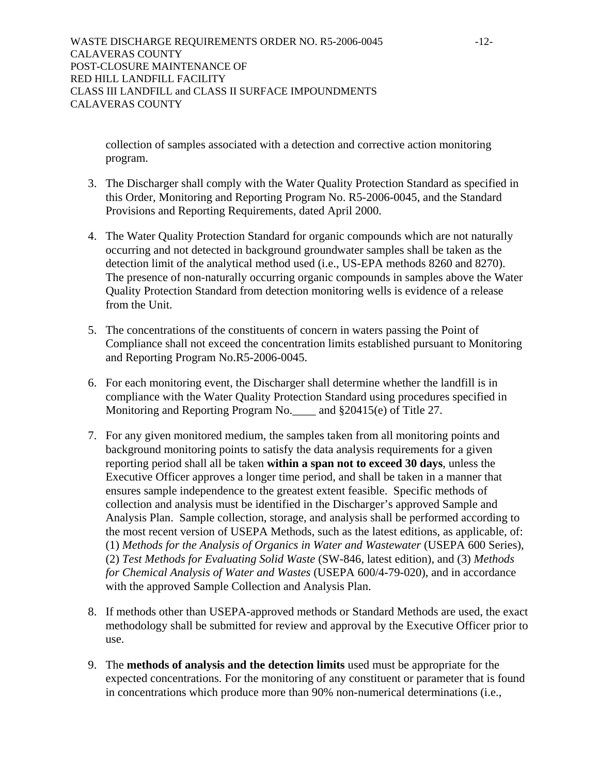WASTE DISCHARGE REQUIREMENTS ORDER NO. R5-2006-0045 -12-CALAVERAS COUNTY POST-CLOSURE MAINTENANCE OF RED HILL LANDFILL FACILITY CLASS III LANDFILL and CLASS II SURFACE IMPOUNDMENTS CALAVERAS COUNTY

collection of samples associated with a detection and corrective action monitoring program.

- 3. The Discharger shall comply with the Water Quality Protection Standard as specified in this Order, Monitoring and Reporting Program No. R5-2006-0045, and the Standard Provisions and Reporting Requirements, dated April 2000.
- 4. The Water Quality Protection Standard for organic compounds which are not naturally occurring and not detected in background groundwater samples shall be taken as the detection limit of the analytical method used (i.e., US-EPA methods 8260 and 8270). The presence of non-naturally occurring organic compounds in samples above the Water Quality Protection Standard from detection monitoring wells is evidence of a release from the Unit.
- 5. The concentrations of the constituents of concern in waters passing the Point of Compliance shall not exceed the concentration limits established pursuant to Monitoring and Reporting Program No.R5-2006-0045.
- 6. For each monitoring event, the Discharger shall determine whether the landfill is in compliance with the Water Quality Protection Standard using procedures specified in Monitoring and Reporting Program No. and §20415(e) of Title 27.
- 7. For any given monitored medium, the samples taken from all monitoring points and background monitoring points to satisfy the data analysis requirements for a given reporting period shall all be taken **within a span not to exceed 30 days**, unless the Executive Officer approves a longer time period, and shall be taken in a manner that ensures sample independence to the greatest extent feasible. Specific methods of collection and analysis must be identified in the Discharger's approved Sample and Analysis Plan. Sample collection, storage, and analysis shall be performed according to the most recent version of USEPA Methods, such as the latest editions, as applicable, of: (1) *Methods for the Analysis of Organics in Water and Wastewater* (USEPA 600 Series), (2) *Test Methods for Evaluating Solid Waste* (SW-846, latest edition), and (3) *Methods for Chemical Analysis of Water and Wastes* (USEPA 600/4-79-020), and in accordance with the approved Sample Collection and Analysis Plan.
- 8. If methods other than USEPA-approved methods or Standard Methods are used, the exact methodology shall be submitted for review and approval by the Executive Officer prior to use.
- 9. The **methods of analysis and the detection limits** used must be appropriate for the expected concentrations. For the monitoring of any constituent or parameter that is found in concentrations which produce more than 90% non-numerical determinations (i.e.,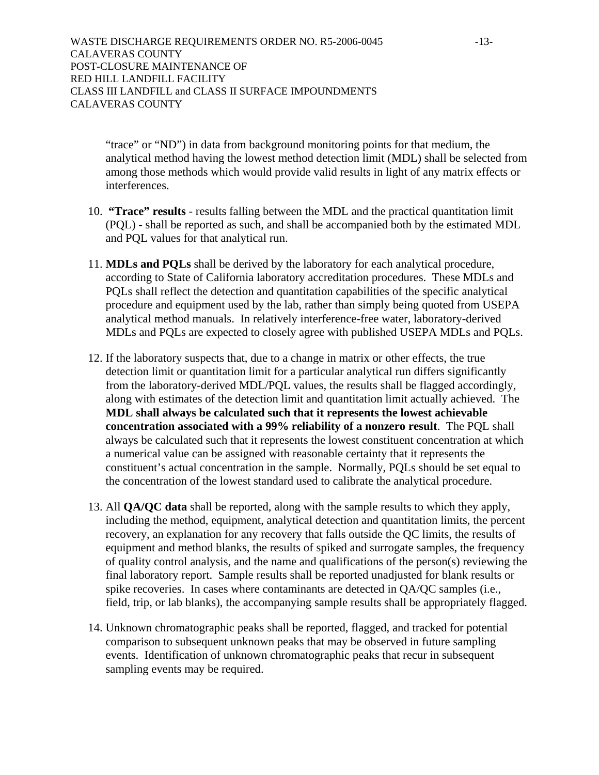WASTE DISCHARGE REQUIREMENTS ORDER NO. R5-2006-0045 -13-CALAVERAS COUNTY POST-CLOSURE MAINTENANCE OF RED HILL LANDFILL FACILITY CLASS III LANDFILL and CLASS II SURFACE IMPOUNDMENTS CALAVERAS COUNTY

"trace" or "ND") in data from background monitoring points for that medium, the analytical method having the lowest method detection limit (MDL) shall be selected from among those methods which would provide valid results in light of any matrix effects or interferences.

- 10. **"Trace" results** results falling between the MDL and the practical quantitation limit (PQL) - shall be reported as such, and shall be accompanied both by the estimated MDL and PQL values for that analytical run.
- 11. **MDLs and PQLs** shall be derived by the laboratory for each analytical procedure, according to State of California laboratory accreditation procedures. These MDLs and PQLs shall reflect the detection and quantitation capabilities of the specific analytical procedure and equipment used by the lab, rather than simply being quoted from USEPA analytical method manuals. In relatively interference-free water, laboratory-derived MDLs and PQLs are expected to closely agree with published USEPA MDLs and PQLs.
- 12. If the laboratory suspects that, due to a change in matrix or other effects, the true detection limit or quantitation limit for a particular analytical run differs significantly from the laboratory-derived MDL/PQL values, the results shall be flagged accordingly, along with estimates of the detection limit and quantitation limit actually achieved. The **MDL shall always be calculated such that it represents the lowest achievable concentration associated with a 99% reliability of a nonzero result**. The PQL shall always be calculated such that it represents the lowest constituent concentration at which a numerical value can be assigned with reasonable certainty that it represents the constituent's actual concentration in the sample. Normally, PQLs should be set equal to the concentration of the lowest standard used to calibrate the analytical procedure.
- 13. All **QA/QC data** shall be reported, along with the sample results to which they apply, including the method, equipment, analytical detection and quantitation limits, the percent recovery, an explanation for any recovery that falls outside the QC limits, the results of equipment and method blanks, the results of spiked and surrogate samples, the frequency of quality control analysis, and the name and qualifications of the person(s) reviewing the final laboratory report. Sample results shall be reported unadjusted for blank results or spike recoveries. In cases where contaminants are detected in QA/QC samples (i.e., field, trip, or lab blanks), the accompanying sample results shall be appropriately flagged.
- 14. Unknown chromatographic peaks shall be reported, flagged, and tracked for potential comparison to subsequent unknown peaks that may be observed in future sampling events. Identification of unknown chromatographic peaks that recur in subsequent sampling events may be required.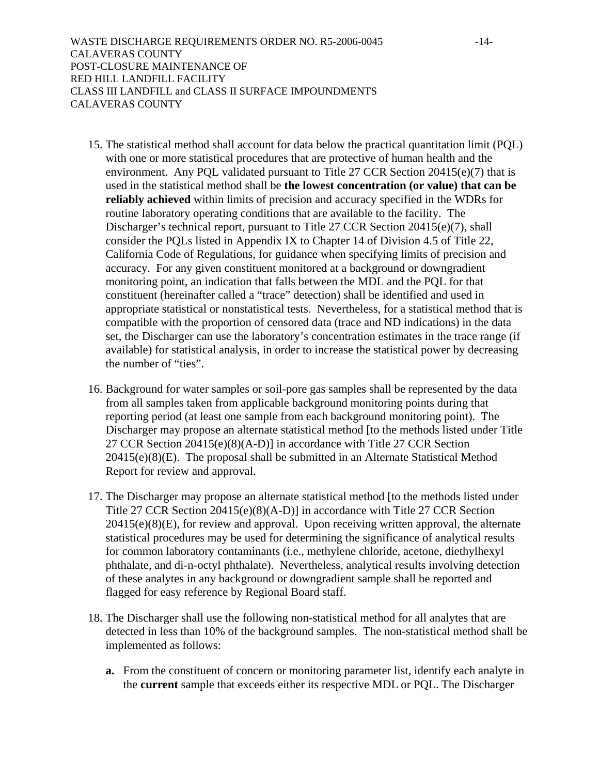WASTE DISCHARGE REQUIREMENTS ORDER NO. R5-2006-0045 -14- CALAVERAS COUNTY POST-CLOSURE MAINTENANCE OF RED HILL LANDFILL FACILITY CLASS III LANDFILL and CLASS II SURFACE IMPOUNDMENTS CALAVERAS COUNTY

- 15. The statistical method shall account for data below the practical quantitation limit (PQL) with one or more statistical procedures that are protective of human health and the environment. Any PQL validated pursuant to Title 27 CCR Section 20415(e)(7) that is used in the statistical method shall be **the lowest concentration (or value) that can be reliably achieved** within limits of precision and accuracy specified in the WDRs for routine laboratory operating conditions that are available to the facility. The Discharger's technical report, pursuant to Title 27 CCR Section 20415(e)(7), shall consider the PQLs listed in Appendix IX to Chapter 14 of Division 4.5 of Title 22, California Code of Regulations, for guidance when specifying limits of precision and accuracy. For any given constituent monitored at a background or downgradient monitoring point, an indication that falls between the MDL and the PQL for that constituent (hereinafter called a "trace" detection) shall be identified and used in appropriate statistical or nonstatistical tests. Nevertheless, for a statistical method that is compatible with the proportion of censored data (trace and ND indications) in the data set, the Discharger can use the laboratory's concentration estimates in the trace range (if available) for statistical analysis, in order to increase the statistical power by decreasing the number of "ties".
- 16. Background for water samples or soil-pore gas samples shall be represented by the data from all samples taken from applicable background monitoring points during that reporting period (at least one sample from each background monitoring point). The Discharger may propose an alternate statistical method [to the methods listed under Title 27 CCR Section 20415(e)(8)(A-D)] in accordance with Title 27 CCR Section 20415(e)(8)(E). The proposal shall be submitted in an Alternate Statistical Method Report for review and approval.
- 17. The Discharger may propose an alternate statistical method [to the methods listed under Title 27 CCR Section 20415(e)(8)(A-D)] in accordance with Title 27 CCR Section 20415(e)(8)(E), for review and approval. Upon receiving written approval, the alternate statistical procedures may be used for determining the significance of analytical results for common laboratory contaminants (i.e., methylene chloride, acetone, diethylhexyl phthalate, and di-n-octyl phthalate). Nevertheless, analytical results involving detection of these analytes in any background or downgradient sample shall be reported and flagged for easy reference by Regional Board staff.
- 18. The Discharger shall use the following non-statistical method for all analytes that are detected in less than 10% of the background samples. The non-statistical method shall be implemented as follows:
	- **a.** From the constituent of concern or monitoring parameter list, identify each analyte in the **current** sample that exceeds either its respective MDL or PQL. The Discharger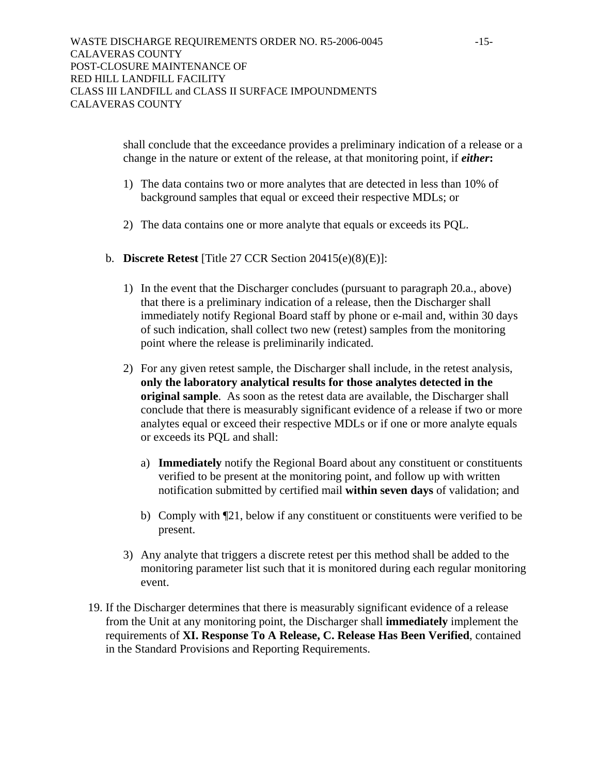shall conclude that the exceedance provides a preliminary indication of a release or a change in the nature or extent of the release, at that monitoring point, if *either***:** 

- 1) The data contains two or more analytes that are detected in less than 10% of background samples that equal or exceed their respective MDLs; or
- 2) The data contains one or more analyte that equals or exceeds its PQL.
- b. **Discrete Retest** [Title 27 CCR Section 20415(e)(8)(E)]:
	- 1) In the event that the Discharger concludes (pursuant to paragraph 20.a., above) that there is a preliminary indication of a release, then the Discharger shall immediately notify Regional Board staff by phone or e-mail and, within 30 days of such indication, shall collect two new (retest) samples from the monitoring point where the release is preliminarily indicated.
	- 2) For any given retest sample, the Discharger shall include, in the retest analysis, **only the laboratory analytical results for those analytes detected in the original sample**. As soon as the retest data are available, the Discharger shall conclude that there is measurably significant evidence of a release if two or more analytes equal or exceed their respective MDLs or if one or more analyte equals or exceeds its PQL and shall:
		- a) **Immediately** notify the Regional Board about any constituent or constituents verified to be present at the monitoring point, and follow up with written notification submitted by certified mail **within seven days** of validation; and
		- b) Comply with ¶21, below if any constituent or constituents were verified to be present.
	- 3) Any analyte that triggers a discrete retest per this method shall be added to the monitoring parameter list such that it is monitored during each regular monitoring event.
- 19. If the Discharger determines that there is measurably significant evidence of a release from the Unit at any monitoring point, the Discharger shall **immediately** implement the requirements of **XI. Response To A Release, C. Release Has Been Verified**, contained in the Standard Provisions and Reporting Requirements.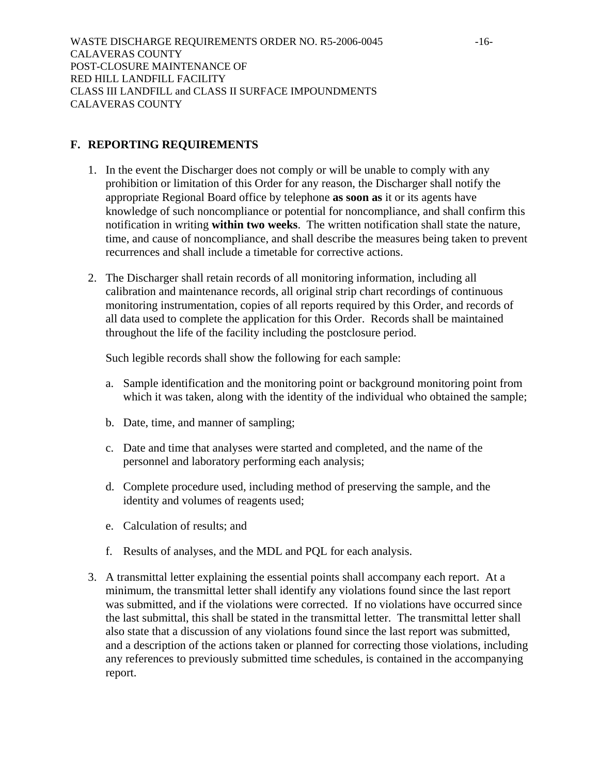#### **F. REPORTING REQUIREMENTS**

- 1. In the event the Discharger does not comply or will be unable to comply with any prohibition or limitation of this Order for any reason, the Discharger shall notify the appropriate Regional Board office by telephone **as soon as** it or its agents have knowledge of such noncompliance or potential for noncompliance, and shall confirm this notification in writing **within two weeks**. The written notification shall state the nature, time, and cause of noncompliance, and shall describe the measures being taken to prevent recurrences and shall include a timetable for corrective actions.
- 2. The Discharger shall retain records of all monitoring information, including all calibration and maintenance records, all original strip chart recordings of continuous monitoring instrumentation, copies of all reports required by this Order, and records of all data used to complete the application for this Order. Records shall be maintained throughout the life of the facility including the postclosure period.

Such legible records shall show the following for each sample:

- a. Sample identification and the monitoring point or background monitoring point from which it was taken, along with the identity of the individual who obtained the sample;
- b. Date, time, and manner of sampling;
- c. Date and time that analyses were started and completed, and the name of the personnel and laboratory performing each analysis;
- d. Complete procedure used, including method of preserving the sample, and the identity and volumes of reagents used;
- e. Calculation of results; and
- f. Results of analyses, and the MDL and PQL for each analysis.
- 3. A transmittal letter explaining the essential points shall accompany each report. At a minimum, the transmittal letter shall identify any violations found since the last report was submitted, and if the violations were corrected. If no violations have occurred since the last submittal, this shall be stated in the transmittal letter. The transmittal letter shall also state that a discussion of any violations found since the last report was submitted, and a description of the actions taken or planned for correcting those violations, including any references to previously submitted time schedules, is contained in the accompanying report.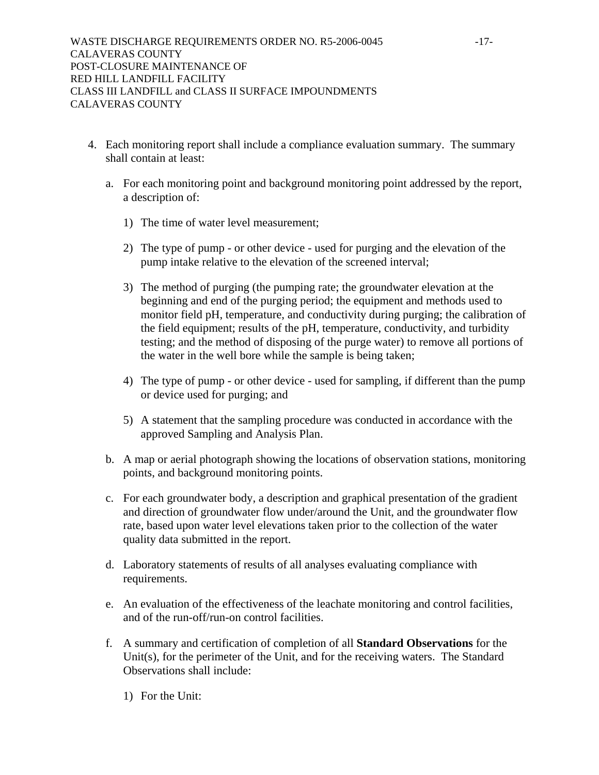- 4. Each monitoring report shall include a compliance evaluation summary. The summary shall contain at least:
	- a. For each monitoring point and background monitoring point addressed by the report, a description of:
		- 1) The time of water level measurement;
		- 2) The type of pump or other device used for purging and the elevation of the pump intake relative to the elevation of the screened interval;
		- 3) The method of purging (the pumping rate; the groundwater elevation at the beginning and end of the purging period; the equipment and methods used to monitor field pH, temperature, and conductivity during purging; the calibration of the field equipment; results of the pH, temperature, conductivity, and turbidity testing; and the method of disposing of the purge water) to remove all portions of the water in the well bore while the sample is being taken;
		- 4) The type of pump or other device used for sampling, if different than the pump or device used for purging; and
		- 5) A statement that the sampling procedure was conducted in accordance with the approved Sampling and Analysis Plan.
	- b. A map or aerial photograph showing the locations of observation stations, monitoring points, and background monitoring points.
	- c. For each groundwater body, a description and graphical presentation of the gradient and direction of groundwater flow under/around the Unit, and the groundwater flow rate, based upon water level elevations taken prior to the collection of the water quality data submitted in the report.
	- d. Laboratory statements of results of all analyses evaluating compliance with requirements.
	- e. An evaluation of the effectiveness of the leachate monitoring and control facilities, and of the run-off/run-on control facilities.
	- f. A summary and certification of completion of all **Standard Observations** for the Unit(s), for the perimeter of the Unit, and for the receiving waters. The Standard Observations shall include:
		- 1) For the Unit: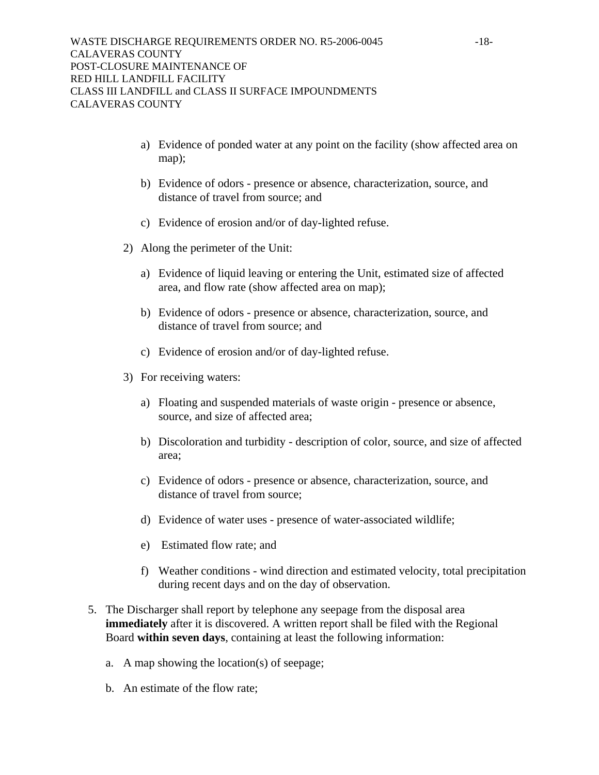- a) Evidence of ponded water at any point on the facility (show affected area on map);
- b) Evidence of odors presence or absence, characterization, source, and distance of travel from source; and
- c) Evidence of erosion and/or of day-lighted refuse.
- 2) Along the perimeter of the Unit:
	- a) Evidence of liquid leaving or entering the Unit, estimated size of affected area, and flow rate (show affected area on map);
	- b) Evidence of odors presence or absence, characterization, source, and distance of travel from source; and
	- c) Evidence of erosion and/or of day-lighted refuse.
- 3) For receiving waters:
	- a) Floating and suspended materials of waste origin presence or absence, source, and size of affected area;
	- b) Discoloration and turbidity description of color, source, and size of affected area;
	- c) Evidence of odors presence or absence, characterization, source, and distance of travel from source;
	- d) Evidence of water uses presence of water-associated wildlife;
	- e) Estimated flow rate; and
	- f) Weather conditions wind direction and estimated velocity, total precipitation during recent days and on the day of observation.
- 5. The Discharger shall report by telephone any seepage from the disposal area **immediately** after it is discovered. A written report shall be filed with the Regional Board **within seven days**, containing at least the following information:
	- a. A map showing the location(s) of seepage;
	- b. An estimate of the flow rate;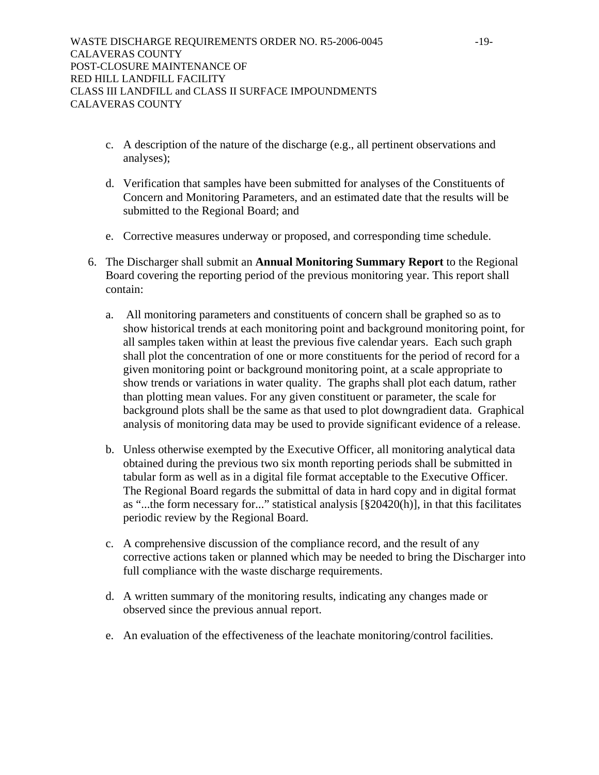- c. A description of the nature of the discharge (e.g., all pertinent observations and analyses);
- d. Verification that samples have been submitted for analyses of the Constituents of Concern and Monitoring Parameters, and an estimated date that the results will be submitted to the Regional Board; and
- e. Corrective measures underway or proposed, and corresponding time schedule.
- 6. The Discharger shall submit an **Annual Monitoring Summary Report** to the Regional Board covering the reporting period of the previous monitoring year. This report shall contain:
	- a. All monitoring parameters and constituents of concern shall be graphed so as to show historical trends at each monitoring point and background monitoring point, for all samples taken within at least the previous five calendar years. Each such graph shall plot the concentration of one or more constituents for the period of record for a given monitoring point or background monitoring point, at a scale appropriate to show trends or variations in water quality. The graphs shall plot each datum, rather than plotting mean values. For any given constituent or parameter, the scale for background plots shall be the same as that used to plot downgradient data. Graphical analysis of monitoring data may be used to provide significant evidence of a release.
	- b. Unless otherwise exempted by the Executive Officer, all monitoring analytical data obtained during the previous two six month reporting periods shall be submitted in tabular form as well as in a digital file format acceptable to the Executive Officer. The Regional Board regards the submittal of data in hard copy and in digital format as "...the form necessary for..." statistical analysis [§20420(h)], in that this facilitates periodic review by the Regional Board.
	- c. A comprehensive discussion of the compliance record, and the result of any corrective actions taken or planned which may be needed to bring the Discharger into full compliance with the waste discharge requirements.
	- d. A written summary of the monitoring results, indicating any changes made or observed since the previous annual report.
	- e. An evaluation of the effectiveness of the leachate monitoring/control facilities.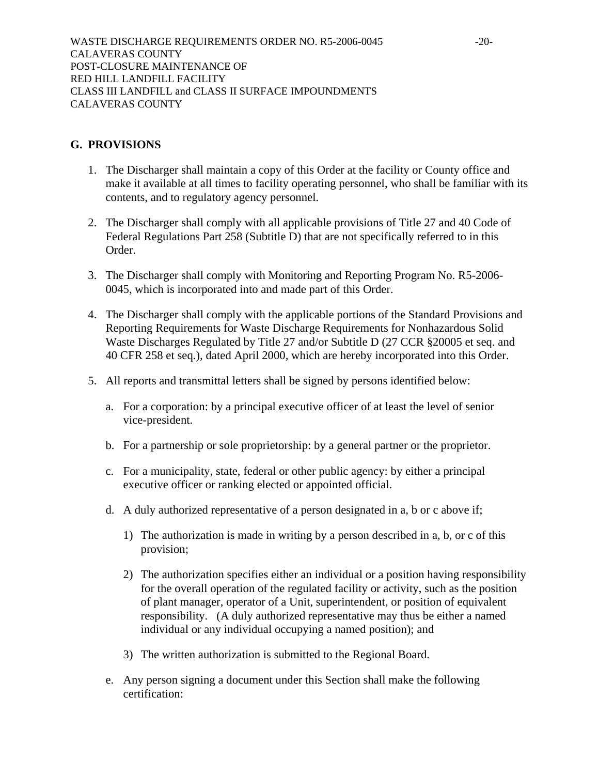WASTE DISCHARGE REQUIREMENTS ORDER NO. R5-2006-0045 -20-CALAVERAS COUNTY POST-CLOSURE MAINTENANCE OF RED HILL LANDFILL FACILITY CLASS III LANDFILL and CLASS II SURFACE IMPOUNDMENTS CALAVERAS COUNTY

#### **G. PROVISIONS**

- 1. The Discharger shall maintain a copy of this Order at the facility or County office and make it available at all times to facility operating personnel, who shall be familiar with its contents, and to regulatory agency personnel.
- 2. The Discharger shall comply with all applicable provisions of Title 27 and 40 Code of Federal Regulations Part 258 (Subtitle D) that are not specifically referred to in this Order.
- 3. The Discharger shall comply with Monitoring and Reporting Program No. R5-2006- 0045, which is incorporated into and made part of this Order.
- 4. The Discharger shall comply with the applicable portions of the Standard Provisions and Reporting Requirements for Waste Discharge Requirements for Nonhazardous Solid Waste Discharges Regulated by Title 27 and/or Subtitle D (27 CCR §20005 et seq. and 40 CFR 258 et seq.), dated April 2000, which are hereby incorporated into this Order.
- 5. All reports and transmittal letters shall be signed by persons identified below:
	- a. For a corporation: by a principal executive officer of at least the level of senior vice-president.
	- b. For a partnership or sole proprietorship: by a general partner or the proprietor.
	- c. For a municipality, state, federal or other public agency: by either a principal executive officer or ranking elected or appointed official.
	- d. A duly authorized representative of a person designated in a, b or c above if;
		- 1) The authorization is made in writing by a person described in a, b, or c of this provision;
		- 2) The authorization specifies either an individual or a position having responsibility for the overall operation of the regulated facility or activity, such as the position of plant manager, operator of a Unit, superintendent, or position of equivalent responsibility. (A duly authorized representative may thus be either a named individual or any individual occupying a named position); and
		- 3) The written authorization is submitted to the Regional Board.
	- e. Any person signing a document under this Section shall make the following certification: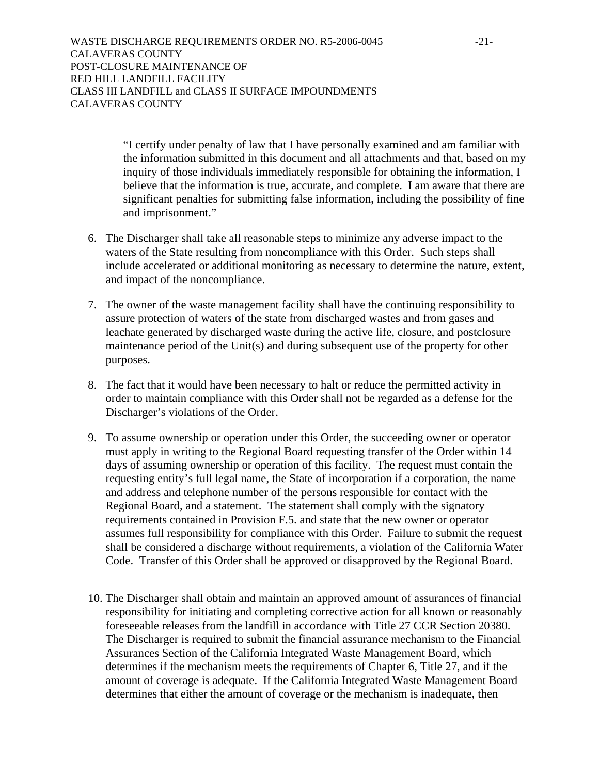WASTE DISCHARGE REQUIREMENTS ORDER NO. R5-2006-0045 -21- CALAVERAS COUNTY POST-CLOSURE MAINTENANCE OF RED HILL LANDFILL FACILITY CLASS III LANDFILL and CLASS II SURFACE IMPOUNDMENTS CALAVERAS COUNTY

> "I certify under penalty of law that I have personally examined and am familiar with the information submitted in this document and all attachments and that, based on my inquiry of those individuals immediately responsible for obtaining the information, I believe that the information is true, accurate, and complete. I am aware that there are significant penalties for submitting false information, including the possibility of fine and imprisonment."

- 6. The Discharger shall take all reasonable steps to minimize any adverse impact to the waters of the State resulting from noncompliance with this Order. Such steps shall include accelerated or additional monitoring as necessary to determine the nature, extent, and impact of the noncompliance.
- 7. The owner of the waste management facility shall have the continuing responsibility to assure protection of waters of the state from discharged wastes and from gases and leachate generated by discharged waste during the active life, closure, and postclosure maintenance period of the Unit(s) and during subsequent use of the property for other purposes.
- 8. The fact that it would have been necessary to halt or reduce the permitted activity in order to maintain compliance with this Order shall not be regarded as a defense for the Discharger's violations of the Order.
- 9. To assume ownership or operation under this Order, the succeeding owner or operator must apply in writing to the Regional Board requesting transfer of the Order within 14 days of assuming ownership or operation of this facility. The request must contain the requesting entity's full legal name, the State of incorporation if a corporation, the name and address and telephone number of the persons responsible for contact with the Regional Board, and a statement. The statement shall comply with the signatory requirements contained in Provision F.5. and state that the new owner or operator assumes full responsibility for compliance with this Order. Failure to submit the request shall be considered a discharge without requirements, a violation of the California Water Code. Transfer of this Order shall be approved or disapproved by the Regional Board.
- 10. The Discharger shall obtain and maintain an approved amount of assurances of financial responsibility for initiating and completing corrective action for all known or reasonably foreseeable releases from the landfill in accordance with Title 27 CCR Section 20380. The Discharger is required to submit the financial assurance mechanism to the Financial Assurances Section of the California Integrated Waste Management Board, which determines if the mechanism meets the requirements of Chapter 6, Title 27, and if the amount of coverage is adequate. If the California Integrated Waste Management Board determines that either the amount of coverage or the mechanism is inadequate, then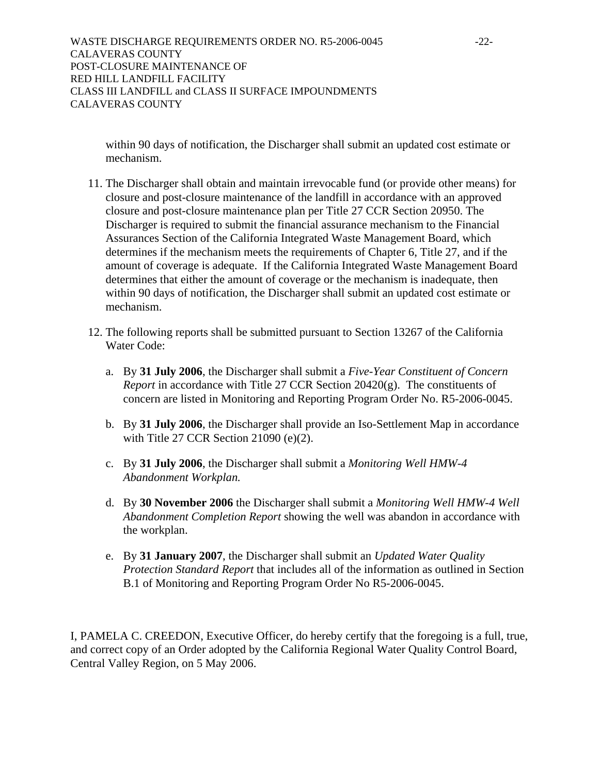WASTE DISCHARGE REQUIREMENTS ORDER NO. R5-2006-0045 -22-CALAVERAS COUNTY POST-CLOSURE MAINTENANCE OF RED HILL LANDFILL FACILITY CLASS III LANDFILL and CLASS II SURFACE IMPOUNDMENTS CALAVERAS COUNTY

within 90 days of notification, the Discharger shall submit an updated cost estimate or mechanism.

- 11. The Discharger shall obtain and maintain irrevocable fund (or provide other means) for closure and post-closure maintenance of the landfill in accordance with an approved closure and post-closure maintenance plan per Title 27 CCR Section 20950. The Discharger is required to submit the financial assurance mechanism to the Financial Assurances Section of the California Integrated Waste Management Board, which determines if the mechanism meets the requirements of Chapter 6, Title 27, and if the amount of coverage is adequate. If the California Integrated Waste Management Board determines that either the amount of coverage or the mechanism is inadequate, then within 90 days of notification, the Discharger shall submit an updated cost estimate or mechanism.
- 12. The following reports shall be submitted pursuant to Section 13267 of the California Water Code:
	- a. By **31 July 2006**, the Discharger shall submit a *Five-Year Constituent of Concern Report* in accordance with Title 27 CCR Section 20420(g). The constituents of concern are listed in Monitoring and Reporting Program Order No. R5-2006-0045.
	- b. By **31 July 2006**, the Discharger shall provide an Iso-Settlement Map in accordance with Title 27 CCR Section 21090 (e)(2).
	- c. By **31 July 2006**, the Discharger shall submit a *Monitoring Well HMW-4 Abandonment Workplan.*
	- d. By **30 November 2006** the Discharger shall submit a *Monitoring Well HMW-4 Well Abandonment Completion Report* showing the well was abandon in accordance with the workplan.
	- e. By **31 January 2007**, the Discharger shall submit an *Updated Water Quality Protection Standard Report* that includes all of the information as outlined in Section B.1 of Monitoring and Reporting Program Order No R5-2006-0045.

I, PAMELA C. CREEDON, Executive Officer, do hereby certify that the foregoing is a full, true, and correct copy of an Order adopted by the California Regional Water Quality Control Board, Central Valley Region, on 5 May 2006.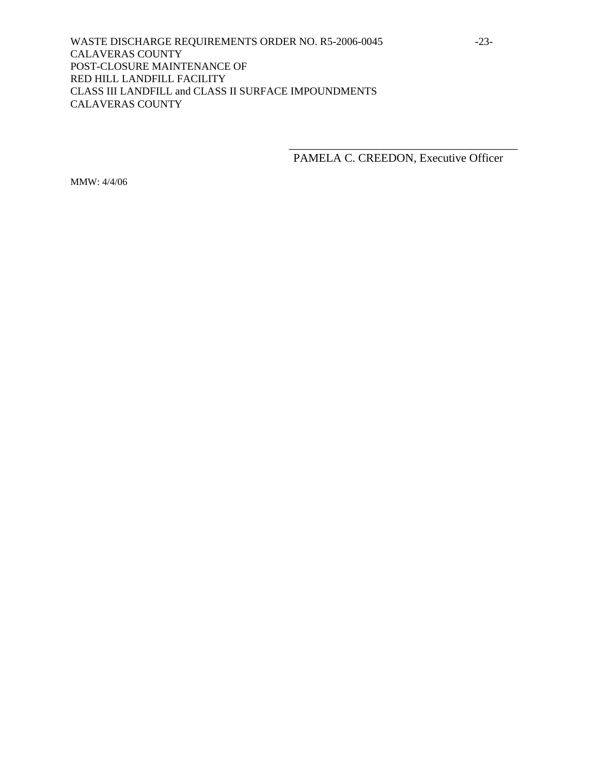WASTE DISCHARGE REQUIREMENTS ORDER NO. R5-2006-0045 -23-CALAVERAS COUNTY POST-CLOSURE MAINTENANCE OF RED HILL LANDFILL FACILITY CLASS III LANDFILL and CLASS II SURFACE IMPOUNDMENTS CALAVERAS COUNTY

 $\overline{\phantom{a}}$  , which is a set of the set of the set of the set of the set of the set of the set of the set of the set of the set of the set of the set of the set of the set of the set of the set of the set of the set of th

PAMELA C. CREEDON, Executive Officer

MMW: 4/4/06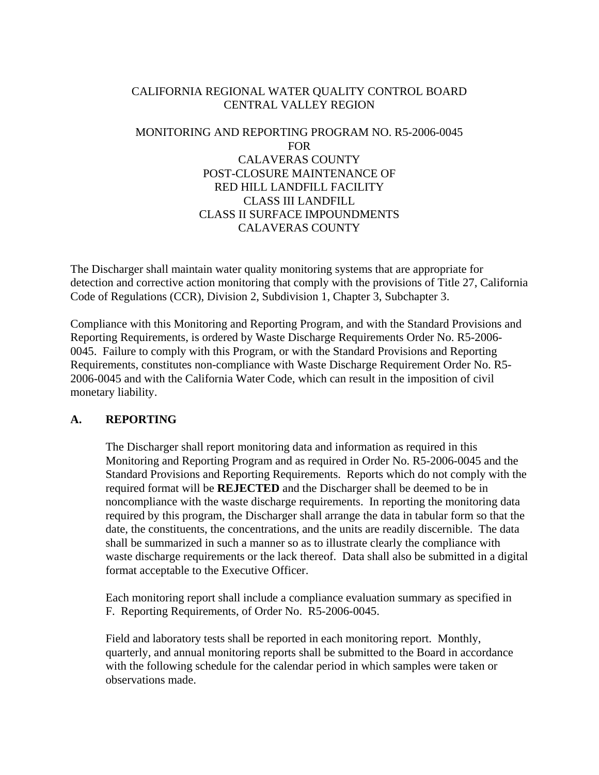# CALIFORNIA REGIONAL WATER QUALITY CONTROL BOARD CENTRAL VALLEY REGION

# MONITORING AND REPORTING PROGRAM NO. R5-2006-0045 FOR CALAVERAS COUNTY POST-CLOSURE MAINTENANCE OF RED HILL LANDFILL FACILITY CLASS III LANDFILL CLASS II SURFACE IMPOUNDMENTS CALAVERAS COUNTY

The Discharger shall maintain water quality monitoring systems that are appropriate for detection and corrective action monitoring that comply with the provisions of Title 27, California Code of Regulations (CCR), Division 2, Subdivision 1, Chapter 3, Subchapter 3.

Compliance with this Monitoring and Reporting Program, and with the Standard Provisions and Reporting Requirements, is ordered by Waste Discharge Requirements Order No. R5-2006- 0045. Failure to comply with this Program, or with the Standard Provisions and Reporting Requirements, constitutes non-compliance with Waste Discharge Requirement Order No. R5- 2006-0045 and with the California Water Code, which can result in the imposition of civil monetary liability.

# **A. REPORTING**

The Discharger shall report monitoring data and information as required in this Monitoring and Reporting Program and as required in Order No. R5-2006-0045 and the Standard Provisions and Reporting Requirements. Reports which do not comply with the required format will be **REJECTED** and the Discharger shall be deemed to be in noncompliance with the waste discharge requirements. In reporting the monitoring data required by this program, the Discharger shall arrange the data in tabular form so that the date, the constituents, the concentrations, and the units are readily discernible. The data shall be summarized in such a manner so as to illustrate clearly the compliance with waste discharge requirements or the lack thereof. Data shall also be submitted in a digital format acceptable to the Executive Officer.

 Each monitoring report shall include a compliance evaluation summary as specified in F. Reporting Requirements, of Order No. R5-2006-0045.

 Field and laboratory tests shall be reported in each monitoring report. Monthly, quarterly, and annual monitoring reports shall be submitted to the Board in accordance with the following schedule for the calendar period in which samples were taken or observations made.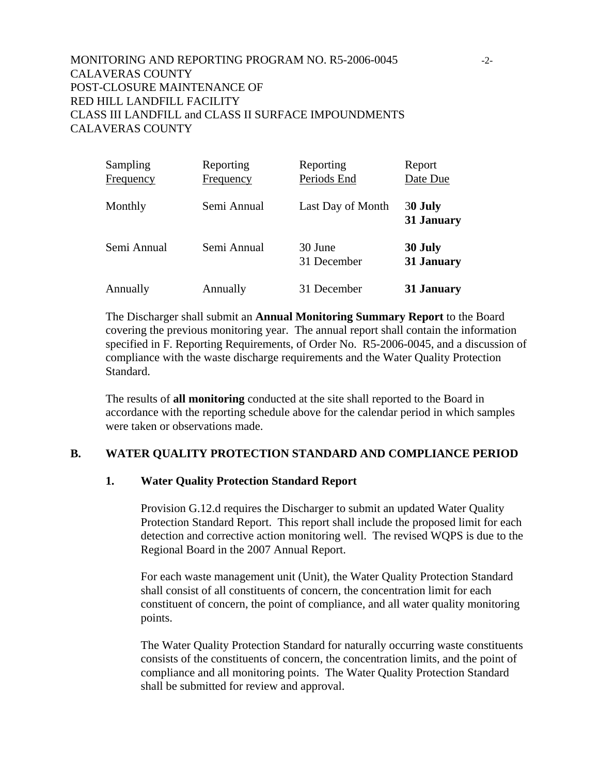# MONITORING AND REPORTING PROGRAM NO. R5-2006-0045 -2- CALAVERAS COUNTY POST-CLOSURE MAINTENANCE OF RED HILL LANDFILL FACILITY CLASS III LANDFILL and CLASS II SURFACE IMPOUNDMENTS CALAVERAS COUNTY

| Sampling    | Reporting   | Reporting              | Report                |
|-------------|-------------|------------------------|-----------------------|
| Frequency   | Frequency   | Periods End            | Date Due              |
| Monthly     | Semi Annual | Last Day of Month      | 30 July<br>31 January |
| Semi Annual | Semi Annual | 30 June<br>31 December | 30 July<br>31 January |
| Annually    | Annually    | 31 December            | 31 January            |

 The Discharger shall submit an **Annual Monitoring Summary Report** to the Board covering the previous monitoring year. The annual report shall contain the information specified in F. Reporting Requirements, of Order No. R5-2006-0045, and a discussion of compliance with the waste discharge requirements and the Water Quality Protection Standard.

The results of **all monitoring** conducted at the site shall reported to the Board in accordance with the reporting schedule above for the calendar period in which samples were taken or observations made.

### **B. WATER QUALITY PROTECTION STANDARD AND COMPLIANCE PERIOD**

#### **1. Water Quality Protection Standard Report**

Provision G.12.d requires the Discharger to submit an updated Water Quality Protection Standard Report. This report shall include the proposed limit for each detection and corrective action monitoring well. The revised WQPS is due to the Regional Board in the 2007 Annual Report.

For each waste management unit (Unit), the Water Quality Protection Standard shall consist of all constituents of concern, the concentration limit for each constituent of concern, the point of compliance, and all water quality monitoring points.

The Water Quality Protection Standard for naturally occurring waste constituents consists of the constituents of concern, the concentration limits, and the point of compliance and all monitoring points. The Water Quality Protection Standard shall be submitted for review and approval.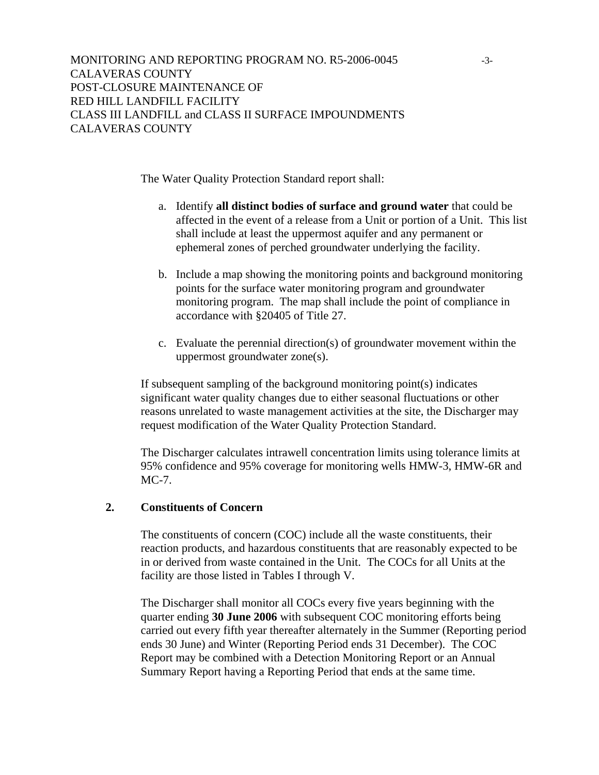The Water Quality Protection Standard report shall:

- a. Identify **all distinct bodies of surface and ground water** that could be affected in the event of a release from a Unit or portion of a Unit. This list shall include at least the uppermost aquifer and any permanent or ephemeral zones of perched groundwater underlying the facility.
- b. Include a map showing the monitoring points and background monitoring points for the surface water monitoring program and groundwater monitoring program. The map shall include the point of compliance in accordance with §20405 of Title 27.
- c. Evaluate the perennial direction(s) of groundwater movement within the uppermost groundwater zone(s).

If subsequent sampling of the background monitoring point(s) indicates significant water quality changes due to either seasonal fluctuations or other reasons unrelated to waste management activities at the site, the Discharger may request modification of the Water Quality Protection Standard.

The Discharger calculates intrawell concentration limits using tolerance limits at 95% confidence and 95% coverage for monitoring wells HMW-3, HMW-6R and MC-7.

### **2. Constituents of Concern**

The constituents of concern (COC) include all the waste constituents, their reaction products, and hazardous constituents that are reasonably expected to be in or derived from waste contained in the Unit. The COCs for all Units at the facility are those listed in Tables I through V.

The Discharger shall monitor all COCs every five years beginning with the quarter ending **30 June 2006** with subsequent COC monitoring efforts being carried out every fifth year thereafter alternately in the Summer (Reporting period ends 30 June) and Winter (Reporting Period ends 31 December). The COC Report may be combined with a Detection Monitoring Report or an Annual Summary Report having a Reporting Period that ends at the same time.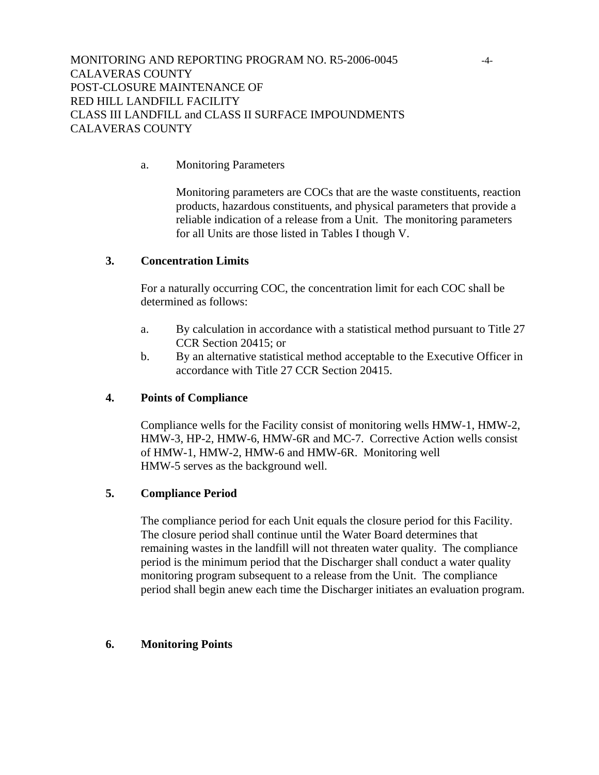# a. Monitoring Parameters

Monitoring parameters are COCs that are the waste constituents, reaction products, hazardous constituents, and physical parameters that provide a reliable indication of a release from a Unit. The monitoring parameters for all Units are those listed in Tables I though V.

### **3. Concentration Limits**

For a naturally occurring COC, the concentration limit for each COC shall be determined as follows:

- a. By calculation in accordance with a statistical method pursuant to Title 27 CCR Section 20415; or
- b. By an alternative statistical method acceptable to the Executive Officer in accordance with Title 27 CCR Section 20415.

### **4. Points of Compliance**

Compliance wells for the Facility consist of monitoring wells HMW-1, HMW-2, HMW-3, HP-2, HMW-6, HMW-6R and MC-7. Corrective Action wells consist of HMW-1, HMW-2, HMW-6 and HMW-6R. Monitoring well HMW-5 serves as the background well.

### **5. Compliance Period**

The compliance period for each Unit equals the closure period for this Facility. The closure period shall continue until the Water Board determines that remaining wastes in the landfill will not threaten water quality. The compliance period is the minimum period that the Discharger shall conduct a water quality monitoring program subsequent to a release from the Unit. The compliance period shall begin anew each time the Discharger initiates an evaluation program.

### **6. Monitoring Points**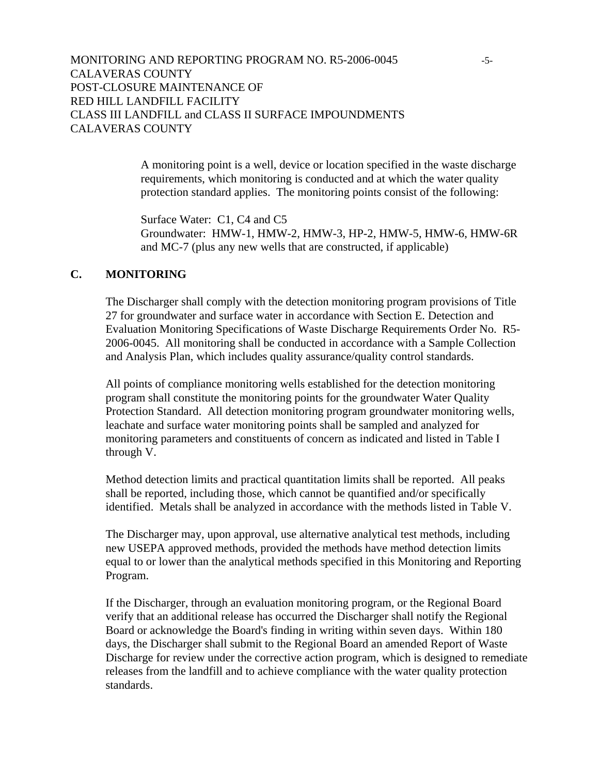# MONITORING AND REPORTING PROGRAM NO. R5-2006-0045 -5- CALAVERAS COUNTY POST-CLOSURE MAINTENANCE OF RED HILL LANDFILL FACILITY CLASS III LANDFILL and CLASS II SURFACE IMPOUNDMENTS CALAVERAS COUNTY

A monitoring point is a well, device or location specified in the waste discharge requirements, which monitoring is conducted and at which the water quality protection standard applies. The monitoring points consist of the following:

Surface Water: C1, C4 and C5 Groundwater: HMW-1, HMW-2, HMW-3, HP-2, HMW-5, HMW-6, HMW-6R and MC-7 (plus any new wells that are constructed, if applicable)

#### **C. MONITORING**

The Discharger shall comply with the detection monitoring program provisions of Title 27 for groundwater and surface water in accordance with Section E. Detection and Evaluation Monitoring Specifications of Waste Discharge Requirements Order No. R5- 2006-0045. All monitoring shall be conducted in accordance with a Sample Collection and Analysis Plan, which includes quality assurance/quality control standards.

All points of compliance monitoring wells established for the detection monitoring program shall constitute the monitoring points for the groundwater Water Quality Protection Standard. All detection monitoring program groundwater monitoring wells, leachate and surface water monitoring points shall be sampled and analyzed for monitoring parameters and constituents of concern as indicated and listed in Table I through V.

Method detection limits and practical quantitation limits shall be reported. All peaks shall be reported, including those, which cannot be quantified and/or specifically identified. Metals shall be analyzed in accordance with the methods listed in Table V.

The Discharger may, upon approval, use alternative analytical test methods, including new USEPA approved methods, provided the methods have method detection limits equal to or lower than the analytical methods specified in this Monitoring and Reporting Program.

If the Discharger, through an evaluation monitoring program, or the Regional Board verify that an additional release has occurred the Discharger shall notify the Regional Board or acknowledge the Board's finding in writing within seven days. Within 180 days, the Discharger shall submit to the Regional Board an amended Report of Waste Discharge for review under the corrective action program, which is designed to remediate releases from the landfill and to achieve compliance with the water quality protection standards.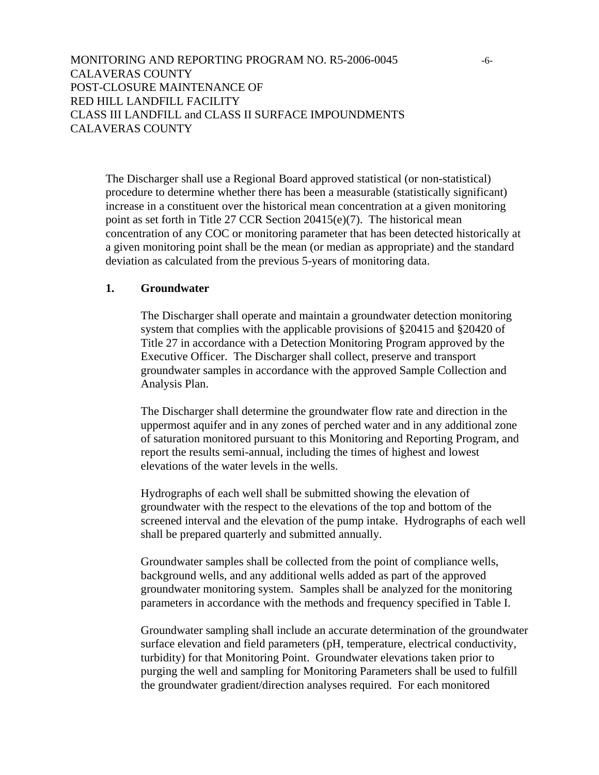The Discharger shall use a Regional Board approved statistical (or non-statistical) procedure to determine whether there has been a measurable (statistically significant) increase in a constituent over the historical mean concentration at a given monitoring point as set forth in Title 27 CCR Section 20415(e)(7). The historical mean concentration of any COC or monitoring parameter that has been detected historically at a given monitoring point shall be the mean (or median as appropriate) and the standard deviation as calculated from the previous 5-years of monitoring data.

### **1. Groundwater**

The Discharger shall operate and maintain a groundwater detection monitoring system that complies with the applicable provisions of §20415 and §20420 of Title 27 in accordance with a Detection Monitoring Program approved by the Executive Officer. The Discharger shall collect, preserve and transport groundwater samples in accordance with the approved Sample Collection and Analysis Plan.

The Discharger shall determine the groundwater flow rate and direction in the uppermost aquifer and in any zones of perched water and in any additional zone of saturation monitored pursuant to this Monitoring and Reporting Program, and report the results semi-annual, including the times of highest and lowest elevations of the water levels in the wells.

Hydrographs of each well shall be submitted showing the elevation of groundwater with the respect to the elevations of the top and bottom of the screened interval and the elevation of the pump intake. Hydrographs of each well shall be prepared quarterly and submitted annually.

Groundwater samples shall be collected from the point of compliance wells, background wells, and any additional wells added as part of the approved groundwater monitoring system. Samples shall be analyzed for the monitoring parameters in accordance with the methods and frequency specified in Table I.

Groundwater sampling shall include an accurate determination of the groundwater surface elevation and field parameters (pH, temperature, electrical conductivity, turbidity) for that Monitoring Point. Groundwater elevations taken prior to purging the well and sampling for Monitoring Parameters shall be used to fulfill the groundwater gradient/direction analyses required. For each monitored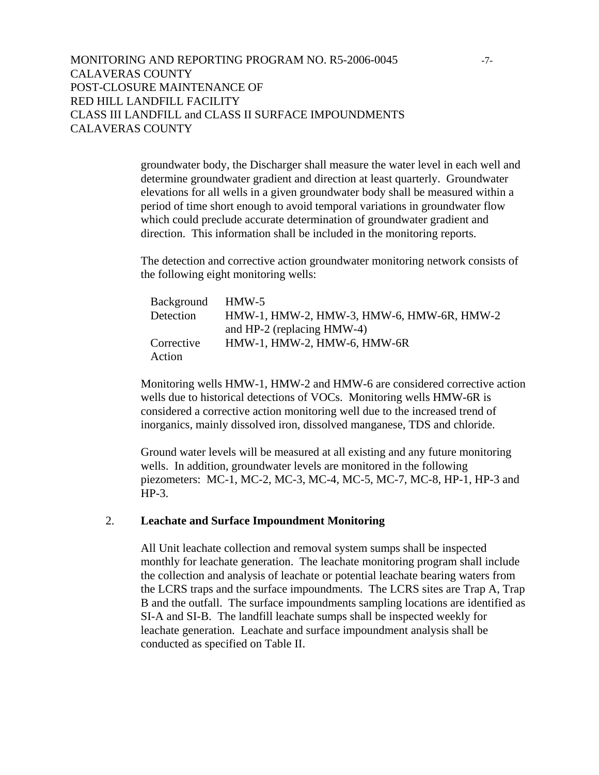groundwater body, the Discharger shall measure the water level in each well and determine groundwater gradient and direction at least quarterly. Groundwater elevations for all wells in a given groundwater body shall be measured within a period of time short enough to avoid temporal variations in groundwater flow which could preclude accurate determination of groundwater gradient and direction. This information shall be included in the monitoring reports.

The detection and corrective action groundwater monitoring network consists of the following eight monitoring wells:

| Background | $HMW-5$                                   |
|------------|-------------------------------------------|
| Detection  | HMW-1, HMW-2, HMW-3, HMW-6, HMW-6R, HMW-2 |
|            | and HP-2 (replacing HMW-4)                |
| Corrective | HMW-1, HMW-2, HMW-6, HMW-6R               |
| Action     |                                           |

Monitoring wells HMW-1, HMW-2 and HMW-6 are considered corrective action wells due to historical detections of VOCs. Monitoring wells HMW-6R is considered a corrective action monitoring well due to the increased trend of inorganics, mainly dissolved iron, dissolved manganese, TDS and chloride.

Ground water levels will be measured at all existing and any future monitoring wells. In addition, groundwater levels are monitored in the following piezometers: MC-1, MC-2, MC-3, MC-4, MC-5, MC-7, MC-8, HP-1, HP-3 and HP-3.

#### 2. **Leachate and Surface Impoundment Monitoring**

All Unit leachate collection and removal system sumps shall be inspected monthly for leachate generation. The leachate monitoring program shall include the collection and analysis of leachate or potential leachate bearing waters from the LCRS traps and the surface impoundments. The LCRS sites are Trap A, Trap B and the outfall. The surface impoundments sampling locations are identified as SI-A and SI-B. The landfill leachate sumps shall be inspected weekly for leachate generation. Leachate and surface impoundment analysis shall be conducted as specified on Table II.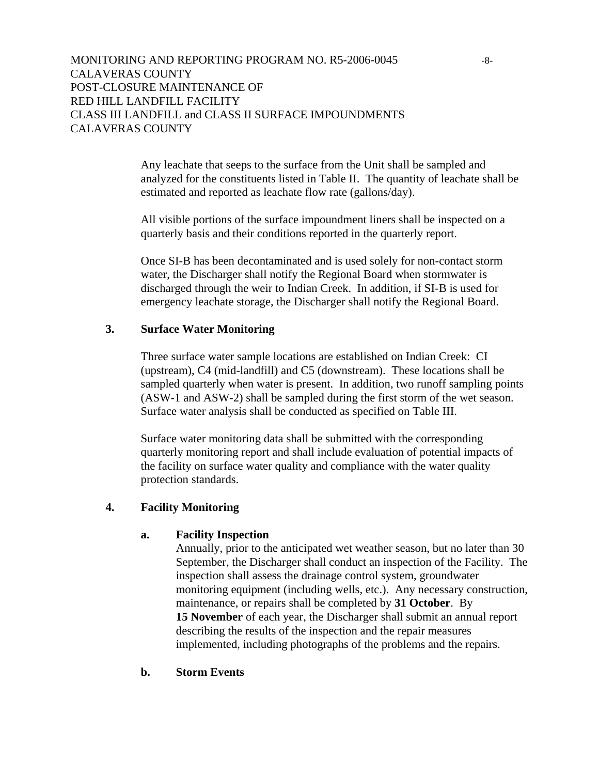Any leachate that seeps to the surface from the Unit shall be sampled and analyzed for the constituents listed in Table II. The quantity of leachate shall be estimated and reported as leachate flow rate (gallons/day).

All visible portions of the surface impoundment liners shall be inspected on a quarterly basis and their conditions reported in the quarterly report.

Once SI-B has been decontaminated and is used solely for non-contact storm water, the Discharger shall notify the Regional Board when stormwater is discharged through the weir to Indian Creek. In addition, if SI-B is used for emergency leachate storage, the Discharger shall notify the Regional Board.

# **3. Surface Water Monitoring**

Three surface water sample locations are established on Indian Creek: CI (upstream), C4 (mid-landfill) and C5 (downstream). These locations shall be sampled quarterly when water is present. In addition, two runoff sampling points (ASW-1 and ASW-2) shall be sampled during the first storm of the wet season. Surface water analysis shall be conducted as specified on Table III.

Surface water monitoring data shall be submitted with the corresponding quarterly monitoring report and shall include evaluation of potential impacts of the facility on surface water quality and compliance with the water quality protection standards.

#### **4. Facility Monitoring**

#### **a. Facility Inspection**

Annually, prior to the anticipated wet weather season, but no later than 30 September, the Discharger shall conduct an inspection of the Facility. The inspection shall assess the drainage control system, groundwater monitoring equipment (including wells, etc.). Any necessary construction, maintenance, or repairs shall be completed by **31 October**. By **15 November** of each year, the Discharger shall submit an annual report describing the results of the inspection and the repair measures implemented, including photographs of the problems and the repairs.

#### **b. Storm Events**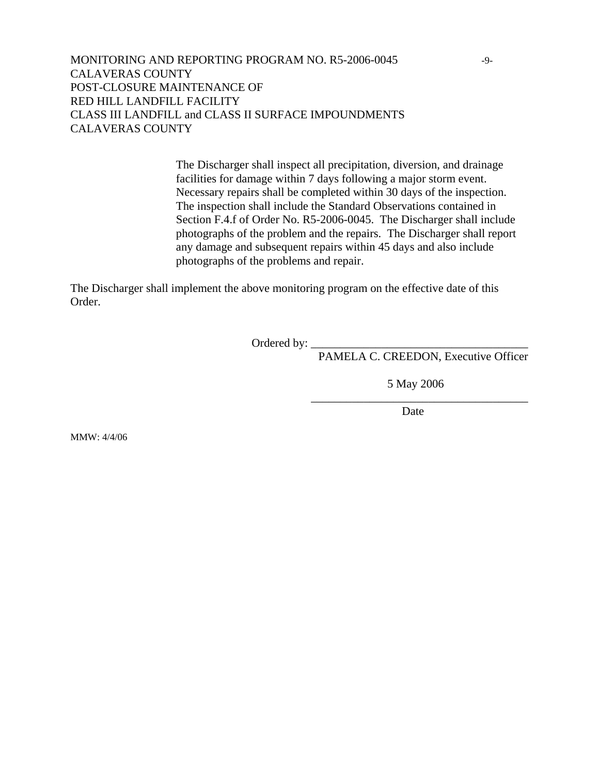# MONITORING AND REPORTING PROGRAM NO. R5-2006-0045 -9- CALAVERAS COUNTY POST-CLOSURE MAINTENANCE OF RED HILL LANDFILL FACILITY CLASS III LANDFILL and CLASS II SURFACE IMPOUNDMENTS CALAVERAS COUNTY

The Discharger shall inspect all precipitation, diversion, and drainage facilities for damage within 7 days following a major storm event. Necessary repairs shall be completed within 30 days of the inspection. The inspection shall include the Standard Observations contained in Section F.4.f of Order No. R5-2006-0045. The Discharger shall include photographs of the problem and the repairs. The Discharger shall report any damage and subsequent repairs within 45 days and also include photographs of the problems and repair.

The Discharger shall implement the above monitoring program on the effective date of this Order.

Ordered by: $\_$ 

 $\overline{\phantom{a}}$  , which is a set of the set of the set of the set of the set of the set of the set of the set of the set of the set of the set of the set of the set of the set of the set of the set of the set of the set of th

PAMELA C. CREEDON, Executive Officer

5 May 2006

**Date** 

MMW: 4/4/06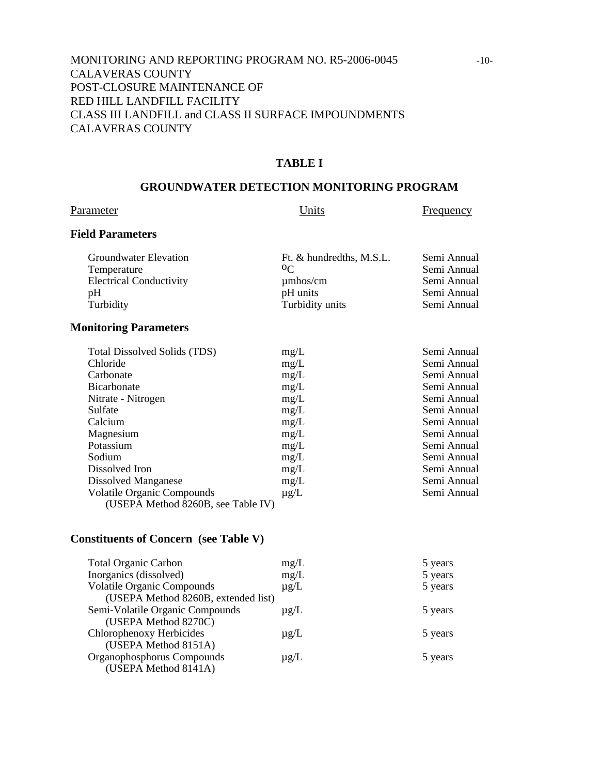# MONITORING AND REPORTING PROGRAM NO. R5-2006-0045 -10- CALAVERAS COUNTY POST-CLOSURE MAINTENANCE OF RED HILL LANDFILL FACILITY CLASS III LANDFILL and CLASS II SURFACE IMPOUNDMENTS CALAVERAS COUNTY

### **TABLE I**

#### **GROUNDWATER DETECTION MONITORING PROGRAM**

# Parameter Units Erequency

# **Field Parameters**

| Groundwater Elevation          | Ft. & hundredths, M.S.L. | Semi Annual |
|--------------------------------|--------------------------|-------------|
| Temperature                    | 0 <sup>C</sup>           | Semi Annual |
| <b>Electrical Conductivity</b> | $\mu$ mhos/cm            | Semi Annual |
| pΗ                             | pH units                 | Semi Annual |
| Turbidity                      | Turbidity units          | Semi Annual |
|                                |                          |             |

#### **Monitoring Parameters**

| <b>Total Dissolved Solids (TDS)</b> | mg/L      | Semi Annual |
|-------------------------------------|-----------|-------------|
| Chloride                            | mg/L      | Semi Annual |
| Carbonate                           | mg/L      | Semi Annual |
| <b>Bicarbonate</b>                  | mg/L      | Semi Annual |
| Nitrate - Nitrogen                  | mg/L      | Semi Annual |
| Sulfate                             | mg/L      | Semi Annual |
| Calcium                             | mg/L      | Semi Annual |
| Magnesium                           | mg/L      | Semi Annual |
| Potassium                           | mg/L      | Semi Annual |
| Sodium                              | mg/L      | Semi Annual |
| Dissolved Iron                      | mg/L      | Semi Annual |
| Dissolved Manganese                 | mg/L      | Semi Annual |
| <b>Volatile Organic Compounds</b>   | $\mu$ g/L | Semi Annual |
| (USEPA Method 8260B, see Table IV)  |           |             |

### **Constituents of Concern (see Table V)**

| mg/L      | 5 years |
|-----------|---------|
| mg/L      | 5 years |
| $\mu$ g/L | 5 years |
|           |         |
| $\mu$ g/L | 5 years |
|           |         |
| $\mu$ g/L | 5 years |
|           |         |
| $\mu$ g/L | 5 years |
|           |         |
|           |         |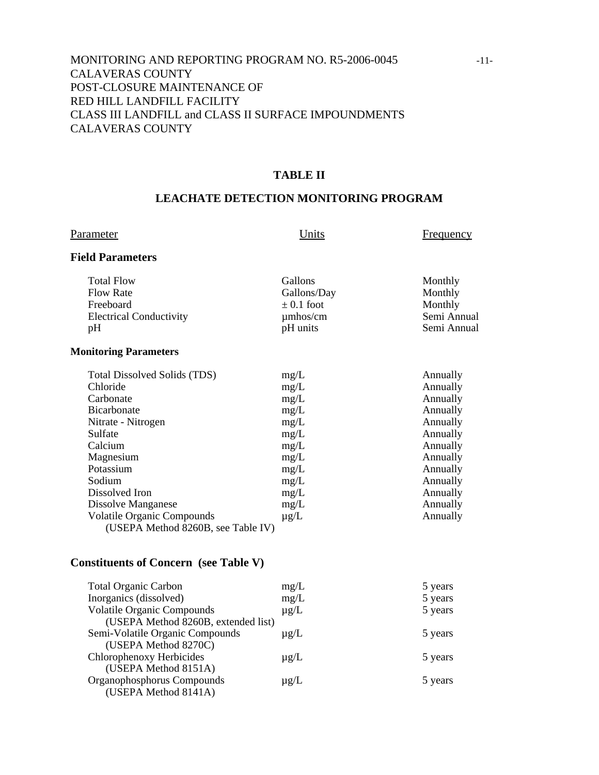# MONITORING AND REPORTING PROGRAM NO. R5-2006-0045 -11- CALAVERAS COUNTY POST-CLOSURE MAINTENANCE OF RED HILL LANDFILL FACILITY CLASS III LANDFILL and CLASS II SURFACE IMPOUNDMENTS CALAVERAS COUNTY

#### **TABLE II**

# **LEACHATE DETECTION MONITORING PROGRAM**

| P <u>arameter</u>                                                                                                                                                                                                                                                              | Units                                                                                                     | <b>Frequency</b>                                                                                                                                         |
|--------------------------------------------------------------------------------------------------------------------------------------------------------------------------------------------------------------------------------------------------------------------------------|-----------------------------------------------------------------------------------------------------------|----------------------------------------------------------------------------------------------------------------------------------------------------------|
| <b>Field Parameters</b>                                                                                                                                                                                                                                                        |                                                                                                           |                                                                                                                                                          |
| <b>Total Flow</b><br><b>Flow Rate</b><br>Freeboard<br><b>Electrical Conductivity</b><br>pH                                                                                                                                                                                     | Gallons<br>Gallons/Day<br>$\pm$ 0.1 foot<br>$\mu$ mhos/cm<br>pH units                                     | Monthly<br>Monthly<br>Monthly<br>Semi Annual<br>Semi Annual                                                                                              |
| <b>Monitoring Parameters</b>                                                                                                                                                                                                                                                   |                                                                                                           |                                                                                                                                                          |
| Total Dissolved Solids (TDS)<br>Chloride<br>Carbonate<br><b>Bicarbonate</b><br>Nitrate - Nitrogen<br>Sulfate<br>Calcium<br>Magnesium<br>Potassium<br>Sodium<br>Dissolved Iron<br>Dissolve Manganese<br><b>Volatile Organic Compounds</b><br>(USEPA Method 8260B, see Table IV) | mg/L<br>mg/L<br>mg/L<br>mg/L<br>mg/L<br>mg/L<br>mg/L<br>mg/L<br>mg/L<br>mg/L<br>mg/L<br>mg/L<br>$\mu$ g/L | Annually<br>Annually<br>Annually<br>Annually<br>Annually<br>Annually<br>Annually<br>Annually<br>Annually<br>Annually<br>Annually<br>Annually<br>Annually |

# **Constituents of Concern (see Table V)**

| 5 years |
|---------|
| 5 years |
| 5 years |
|         |
| 5 years |
|         |
| 5 years |
|         |
| 5 years |
|         |
|         |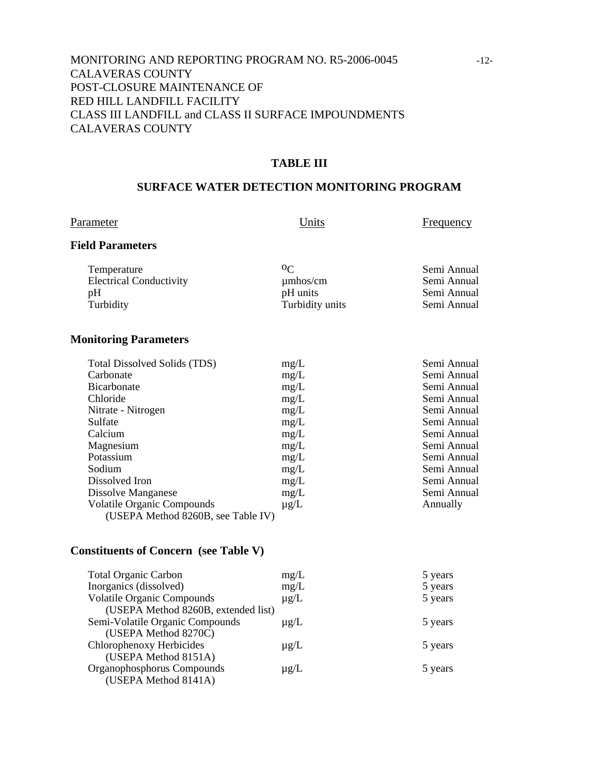# MONITORING AND REPORTING PROGRAM NO. R5-2006-0045 -12- CALAVERAS COUNTY POST-CLOSURE MAINTENANCE OF RED HILL LANDFILL FACILITY CLASS III LANDFILL and CLASS II SURFACE IMPOUNDMENTS CALAVERAS COUNTY

#### **TABLE III**

#### **SURFACE WATER DETECTION MONITORING PROGRAM**

Parameter **Example 1** Units **Example 1** Units **Example 1** Units

#### **Field Parameters**

| Temperature                    | 0 <sup>C</sup>  | Semi Annual |
|--------------------------------|-----------------|-------------|
| <b>Electrical Conductivity</b> | $\mu$ mhos/cm   | Semi Annual |
| pΗ                             | pH units        | Semi Annual |
| Turbidity                      | Turbidity units | Semi Annual |

### **Monitoring Parameters**

| <b>Total Dissolved Solids (TDS)</b> | mg/L      | Semi Annual |
|-------------------------------------|-----------|-------------|
| Carbonate                           | mg/L      | Semi Annual |
| <b>Bicarbonate</b>                  | mg/L      | Semi Annual |
| Chloride                            | mg/L      | Semi Annual |
| Nitrate - Nitrogen                  | mg/L      | Semi Annual |
| Sulfate                             | mg/L      | Semi Annual |
| Calcium                             | mg/L      | Semi Annual |
| Magnesium                           | mg/L      | Semi Annual |
| Potassium                           | mg/L      | Semi Annual |
| Sodium                              | mg/L      | Semi Annual |
| Dissolved Iron                      | mg/L      | Semi Annual |
| Dissolve Manganese                  | mg/L      | Semi Annual |
| <b>Volatile Organic Compounds</b>   | $\mu$ g/L | Annually    |
| (USEPA Method 8260B, see Table IV)  |           |             |

# **Constituents of Concern (see Table V)**

| <b>Total Organic Carbon</b>         | mg/L      | 5 years |
|-------------------------------------|-----------|---------|
| Inorganics (dissolved)              | mg/L      | 5 years |
| <b>Volatile Organic Compounds</b>   | $\mu$ g/L | 5 years |
| (USEPA Method 8260B, extended list) |           |         |
| Semi-Volatile Organic Compounds     | $\mu$ g/L | 5 years |
| (USEPA Method 8270C)                |           |         |
| Chlorophenoxy Herbicides            | $\mu$ g/L | 5 years |
| (USEPA Method 8151A)                |           |         |
| Organophosphorus Compounds          | $\mu$ g/L | 5 years |
| (USEPA Method 8141A)                |           |         |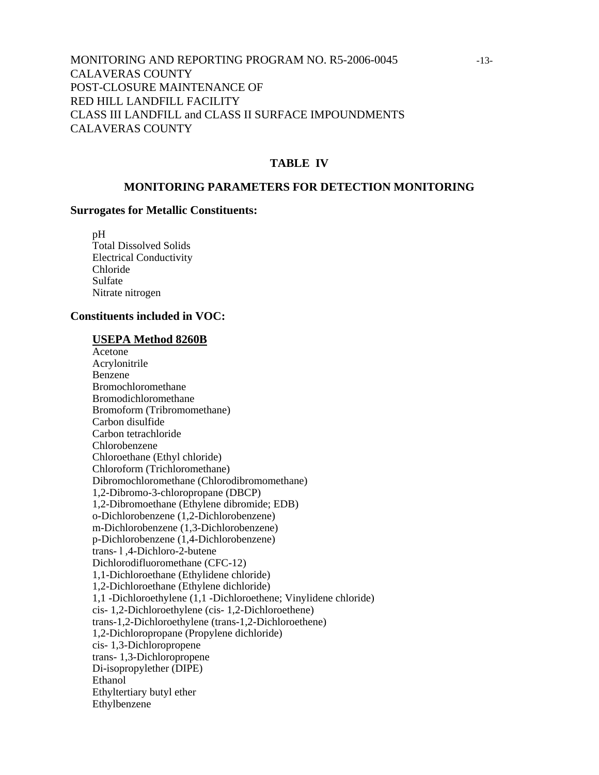# MONITORING AND REPORTING PROGRAM NO. R5-2006-0045 -13- CALAVERAS COUNTY POST-CLOSURE MAINTENANCE OF RED HILL LANDFILL FACILITY CLASS III LANDFILL and CLASS II SURFACE IMPOUNDMENTS CALAVERAS COUNTY

#### **TABLE IV**

#### **MONITORING PARAMETERS FOR DETECTION MONITORING**

#### **Surrogates for Metallic Constituents:**

 pH Total Dissolved Solids Electrical Conductivity Chloride Sulfate Nitrate nitrogen

#### **Constituents included in VOC:**

#### **USEPA Method 8260B**

 Acetone Acrylonitrile Benzene Bromochloromethane Bromodichloromethane Bromoform (Tribromomethane) Carbon disulfide Carbon tetrachloride Chlorobenzene Chloroethane (Ethyl chloride) Chloroform (Trichloromethane) Dibromochloromethane (Chlorodibromomethane) 1,2-Dibromo-3-chloropropane (DBCP) 1,2-Dibromoethane (Ethylene dibromide; EDB) o-Dichlorobenzene (1,2-Dichlorobenzene) m-Dichlorobenzene (1,3-Dichlorobenzene) p-Dichlorobenzene (1,4-Dichlorobenzene) trans- l ,4-Dichloro-2-butene Dichlorodifluoromethane (CFC-12) 1,1-Dichloroethane (Ethylidene chloride) 1,2-Dichloroethane (Ethylene dichloride) 1,1 -Dichloroethylene (1,1 -Dichloroethene; Vinylidene chloride) cis- 1,2-Dichloroethylene (cis- 1,2-Dichloroethene) trans-1,2-Dichloroethylene (trans-1,2-Dichloroethene) 1,2-Dichloropropane (Propylene dichloride) cis- 1,3-Dichloropropene trans- 1,3-Dichloropropene Di-isopropylether (DIPE) Ethanol Ethyltertiary butyl ether Ethylbenzene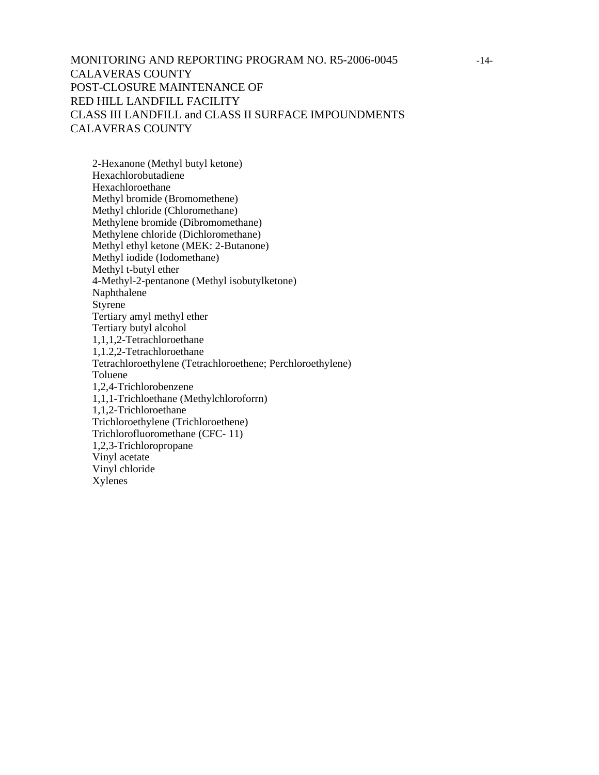# MONITORING AND REPORTING PROGRAM NO. R5-2006-0045 -14- CALAVERAS COUNTY POST-CLOSURE MAINTENANCE OF RED HILL LANDFILL FACILITY CLASS III LANDFILL and CLASS II SURFACE IMPOUNDMENTS CALAVERAS COUNTY

 2-Hexanone (Methyl butyl ketone) Hexachlorobutadiene Hexachloroethane Methyl bromide (Bromomethene) Methyl chloride (Chloromethane) Methylene bromide (Dibromomethane) Methylene chloride (Dichloromethane) Methyl ethyl ketone (MEK: 2-Butanone) Methyl iodide (Iodomethane) Methyl t-butyl ether 4-Methyl-2-pentanone (Methyl isobutylketone) Naphthalene Styrene Tertiary amyl methyl ether Tertiary butyl alcohol 1,1,1,2-Tetrachloroethane 1,1.2,2-Tetrachloroethane Tetrachloroethylene (Tetrachloroethene; Perchloroethylene) Toluene 1,2,4-Trichlorobenzene 1,1,1-Trichloethane (Methylchloroforrn) 1,1,2-Trichloroethane Trichloroethylene (Trichloroethene) Trichlorofluoromethane (CFC- 11) 1,2,3-Trichloropropane Vinyl acetate Vinyl chloride Xylenes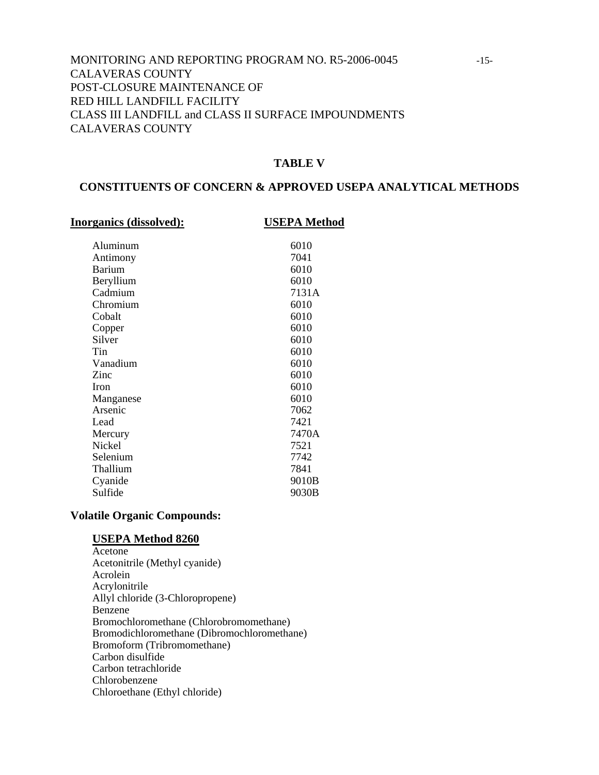# MONITORING AND REPORTING PROGRAM NO. R5-2006-0045 -15- CALAVERAS COUNTY POST-CLOSURE MAINTENANCE OF RED HILL LANDFILL FACILITY CLASS III LANDFILL and CLASS II SURFACE IMPOUNDMENTS CALAVERAS COUNTY

#### **TABLE V**

#### **CONSTITUENTS OF CONCERN & APPROVED USEPA ANALYTICAL METHODS**

#### **Inorganics (dissolved): USEPA Method**

| Aluminum      | 6010  |
|---------------|-------|
| Antimony      | 7041  |
| <b>Barium</b> | 6010  |
| Beryllium     | 6010  |
| Cadmium       | 7131A |
| Chromium      | 6010  |
| Cobalt        | 6010  |
| Copper        | 6010  |
| Silver        | 6010  |
| Tin           | 6010  |
| Vanadium      | 6010  |
| Zinc          | 6010  |
| <b>Iron</b>   | 6010  |
| Manganese     | 6010  |
| Arsenic       | 7062  |
| Lead          | 7421  |
| Mercury       | 7470A |
| Nickel        | 7521  |
| Selenium      | 7742  |
| Thallium      | 7841  |
| Cyanide       | 9010B |
| Sulfide       | 9030B |
|               |       |

#### **Volatile Organic Compounds:**

#### **USEPA Method 8260**

 Acetone Acetonitrile (Methyl cyanide) Acrolein Acrylonitrile Allyl chloride (3-Chloropropene) Benzene Bromochloromethane (Chlorobromomethane) Bromodichloromethane (Dibromochloromethane) Bromoform (Tribromomethane) Carbon disulfide Carbon tetrachloride Chlorobenzene Chloroethane (Ethyl chloride)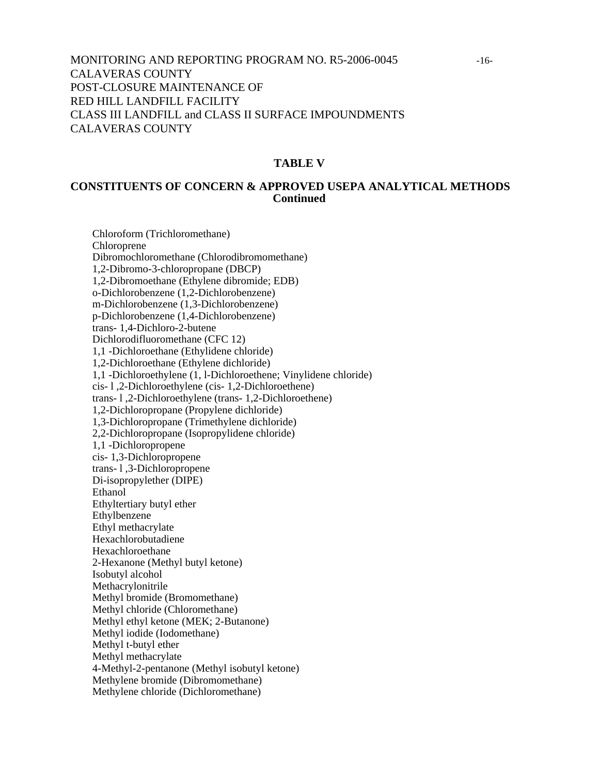# MONITORING AND REPORTING PROGRAM NO. R5-2006-0045 -16- CALAVERAS COUNTY POST-CLOSURE MAINTENANCE OF RED HILL LANDFILL FACILITY CLASS III LANDFILL and CLASS II SURFACE IMPOUNDMENTS CALAVERAS COUNTY

#### **TABLE V**

#### **CONSTITUENTS OF CONCERN & APPROVED USEPA ANALYTICAL METHODS Continued**

 Chloroform (Trichloromethane) Chloroprene Dibromochloromethane (Chlorodibromomethane) 1,2-Dibromo-3-chloropropane (DBCP) 1,2-Dibromoethane (Ethylene dibromide; EDB) o-Dichlorobenzene (1,2-Dichlorobenzene) m-Dichlorobenzene (1,3-Dichlorobenzene) p-Dichlorobenzene (1,4-Dichlorobenzene) trans- 1,4-Dichloro-2-butene Dichlorodifluoromethane (CFC 12) 1,1 -Dichloroethane (Ethylidene chloride) 1,2-Dichloroethane (Ethylene dichloride) 1,1 -Dichloroethylene (1, l-Dichloroethene; Vinylidene chloride) cis- l ,2-Dichloroethylene (cis- 1,2-Dichloroethene) trans- l ,2-Dichloroethylene (trans- 1,2-Dichloroethene) 1,2-Dichloropropane (Propylene dichloride) 1,3-Dichloropropane (Trimethylene dichloride) 2,2-Dichloropropane (Isopropylidene chloride) 1,1 -Dichloropropene cis- 1,3-Dichloropropene trans- l ,3-Dichloropropene Di-isopropylether (DIPE) **Ethanol**  Ethyltertiary butyl ether Ethylbenzene Ethyl methacrylate Hexachlorobutadiene Hexachloroethane 2-Hexanone (Methyl butyl ketone) Isobutyl alcohol Methacrylonitrile Methyl bromide (Bromomethane) Methyl chloride (Chloromethane) Methyl ethyl ketone (MEK; 2-Butanone) Methyl iodide (Iodomethane) Methyl t-butyl ether Methyl methacrylate 4-Methyl-2-pentanone (Methyl isobutyl ketone) Methylene bromide (Dibromomethane) Methylene chloride (Dichloromethane)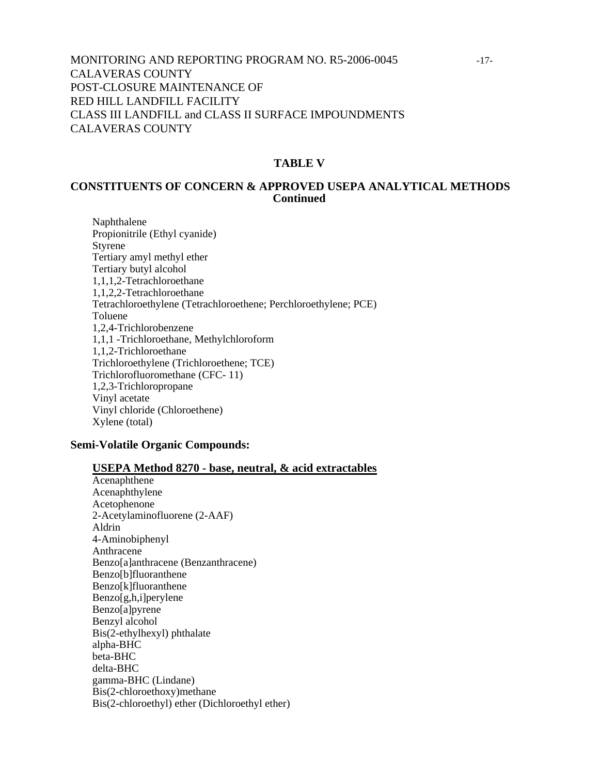# MONITORING AND REPORTING PROGRAM NO. R5-2006-0045 -17- CALAVERAS COUNTY POST-CLOSURE MAINTENANCE OF RED HILL LANDFILL FACILITY CLASS III LANDFILL and CLASS II SURFACE IMPOUNDMENTS CALAVERAS COUNTY

#### **TABLE V**

#### **CONSTITUENTS OF CONCERN & APPROVED USEPA ANALYTICAL METHODS Continued**

 Naphthalene Propionitrile (Ethyl cyanide) Styrene Tertiary amyl methyl ether Tertiary butyl alcohol 1,1,1,2-Tetrachloroethane 1,1,2,2-Tetrachloroethane Tetrachloroethylene (Tetrachloroethene; Perchloroethylene; PCE) Toluene 1,2,4-Trichlorobenzene 1,1,1 -Trichloroethane, Methylchloroform 1,1,2-Trichloroethane Trichloroethylene (Trichloroethene; TCE) Trichlorofluoromethane (CFC- 11) 1,2,3-Trichloropropane Vinyl acetate Vinyl chloride (Chloroethene) Xylene (total)

#### **Semi-Volatile Organic Compounds:**

- **USEPA Method 8270 base, neutral, & acid extractables**
- Acenaphthene Acenaphthylene Acetophenone 2-Acetylaminofluorene (2-AAF) Aldrin 4-Aminobiphenyl Anthracene Benzo[a]anthracene (Benzanthracene) Benzo[b]fluoranthene Benzo[k]fluoranthene Benzo[g,h,i]perylene Benzo[a]pyrene Benzyl alcohol Bis(2-ethylhexyl) phthalate alpha-BHC beta-BHC delta-BHC gamma-BHC (Lindane) Bis(2-chloroethoxy)methane Bis(2-chloroethyl) ether (Dichloroethyl ether)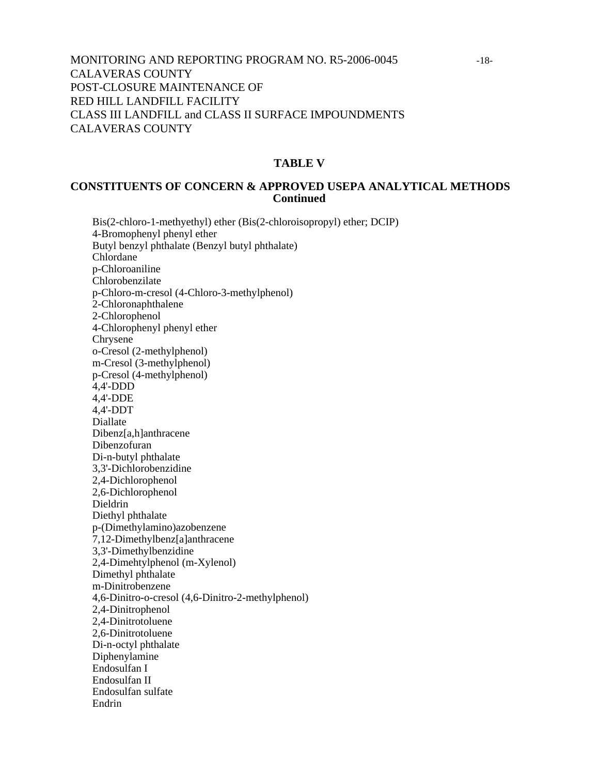# MONITORING AND REPORTING PROGRAM NO. R5-2006-0045 -18- CALAVERAS COUNTY POST-CLOSURE MAINTENANCE OF RED HILL LANDFILL FACILITY CLASS III LANDFILL and CLASS II SURFACE IMPOUNDMENTS CALAVERAS COUNTY

#### **TABLE V**

#### **CONSTITUENTS OF CONCERN & APPROVED USEPA ANALYTICAL METHODS Continued**

 Bis(2-chloro-1-methyethyl) ether (Bis(2-chloroisopropyl) ether; DCIP) 4-Bromophenyl phenyl ether Butyl benzyl phthalate (Benzyl butyl phthalate) Chlordane p-Chloroaniline Chlorobenzilate p-Chloro-m-cresol (4-Chloro-3-methylphenol) 2-Chloronaphthalene 2-Chlorophenol 4-Chlorophenyl phenyl ether Chrysene o-Cresol (2-methylphenol) m-Cresol (3-methylphenol) p-Cresol (4-methylphenol) 4,4'-DDD 4,4'-DDE 4,4'-DDT Diallate Dibenz[a,h]anthracene Dibenzofuran Di-n-butyl phthalate 3,3'-Dichlorobenzidine 2,4-Dichlorophenol 2,6-Dichlorophenol Dieldrin Diethyl phthalate p-(Dimethylamino)azobenzene 7,12-Dimethylbenz[a]anthracene 3,3'-Dimethylbenzidine 2,4-Dimehtylphenol (m-Xylenol) Dimethyl phthalate m-Dinitrobenzene 4,6-Dinitro-o-cresol (4,6-Dinitro-2-methylphenol) 2,4-Dinitrophenol 2,4-Dinitrotoluene 2,6-Dinitrotoluene Di-n-octyl phthalate Diphenylamine Endosulfan I Endosulfan II Endosulfan sulfate Endrin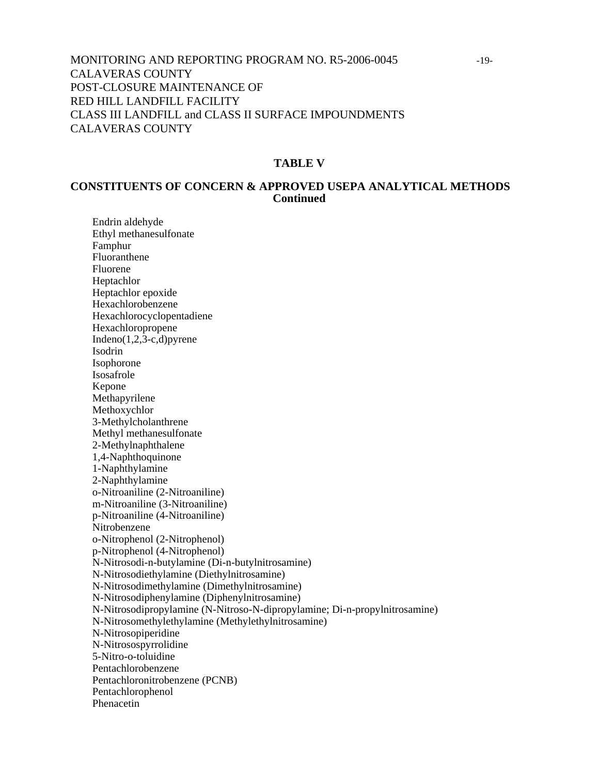# MONITORING AND REPORTING PROGRAM NO. R5-2006-0045 -19- CALAVERAS COUNTY POST-CLOSURE MAINTENANCE OF RED HILL LANDFILL FACILITY CLASS III LANDFILL and CLASS II SURFACE IMPOUNDMENTS CALAVERAS COUNTY

#### **TABLE V**

#### **CONSTITUENTS OF CONCERN & APPROVED USEPA ANALYTICAL METHODS Continued**

Endrin aldehyde Ethyl methanesulfonate Famphur Fluoranthene Fluorene Heptachlor Heptachlor epoxide Hexachlorobenzene Hexachlorocyclopentadiene **Hexachloropropene** Indeno $(1,2,3-c,d)$ pyrene Isodrin Isophorone Isosafrole Kepone Methapyrilene Methoxychlor 3-Methylcholanthrene Methyl methanesulfonate 2-Methylnaphthalene 1,4-Naphthoquinone 1-Naphthylamine 2-Naphthylamine o-Nitroaniline (2-Nitroaniline) m-Nitroaniline (3-Nitroaniline) p-Nitroaniline (4-Nitroaniline) Nitrobenzene o-Nitrophenol (2-Nitrophenol) p-Nitrophenol (4-Nitrophenol) N-Nitrosodi-n-butylamine (Di-n-butylnitrosamine) N-Nitrosodiethylamine (Diethylnitrosamine) N-Nitrosodimethylamine (Dimethylnitrosamine) N-Nitrosodiphenylamine (Diphenylnitrosamine) N-Nitrosodipropylamine (N-Nitroso-N-dipropylamine; Di-n-propylnitrosamine) N-Nitrosomethylethylamine (Methylethylnitrosamine) N-Nitrosopiperidine N-Nitrosospyrrolidine 5-Nitro-o-toluidine Pentachlorobenzene Pentachloronitrobenzene (PCNB) Pentachlorophenol Phenacetin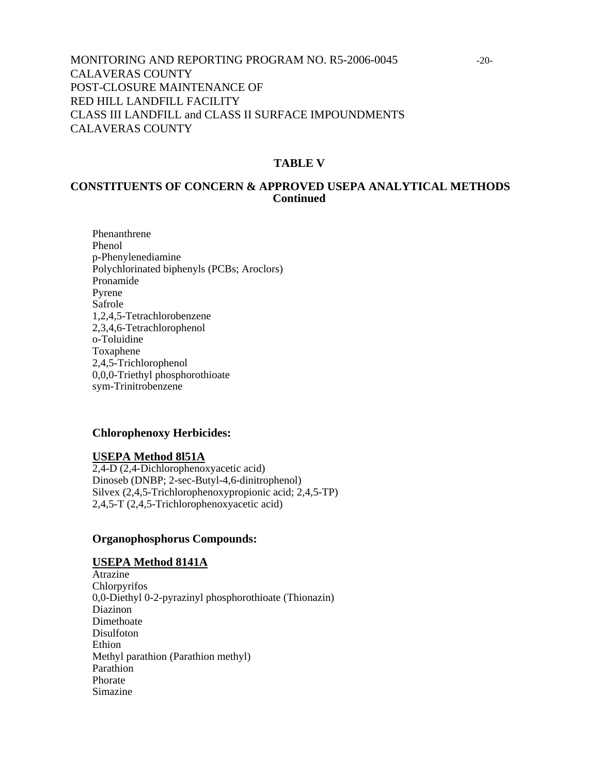# MONITORING AND REPORTING PROGRAM NO. R5-2006-0045 -20- CALAVERAS COUNTY POST-CLOSURE MAINTENANCE OF RED HILL LANDFILL FACILITY CLASS III LANDFILL and CLASS II SURFACE IMPOUNDMENTS CALAVERAS COUNTY

#### **TABLE V**

#### **CONSTITUENTS OF CONCERN & APPROVED USEPA ANALYTICAL METHODS Continued**

Phenanthrene Phenol p-Phenylenediamine Polychlorinated biphenyls (PCBs; Aroclors) Pronamide Pyrene Safrole 1,2,4,5-Tetrachlorobenzene 2,3,4,6-Tetrachlorophenol o-Toluidine Toxaphene 2,4,5-Trichlorophenol 0,0,0-Triethyl phosphorothioate sym-Trinitrobenzene

#### **Chlorophenoxy Herbicides:**

#### **USEPA Method 8l51A**

2,4-D (2,4-Dichlorophenoxyacetic acid) Dinoseb (DNBP; 2-sec-Butyl-4,6-dinitrophenol) Silvex (2,4,5-Trichlorophenoxypropionic acid; 2,4,5-TP) 2,4,5-T (2,4,5-Trichlorophenoxyacetic acid)

#### **Organophosphorus Compounds:**

#### **USEPA Method 8141A**

Atrazine Chlorpyrifos 0,0-Diethyl 0-2-pyrazinyl phosphorothioate (Thionazin) Diazinon<sup>1</sup> Dimethoate Disulfoton Ethion Methyl parathion (Parathion methyl) Parathion Phorate Simazine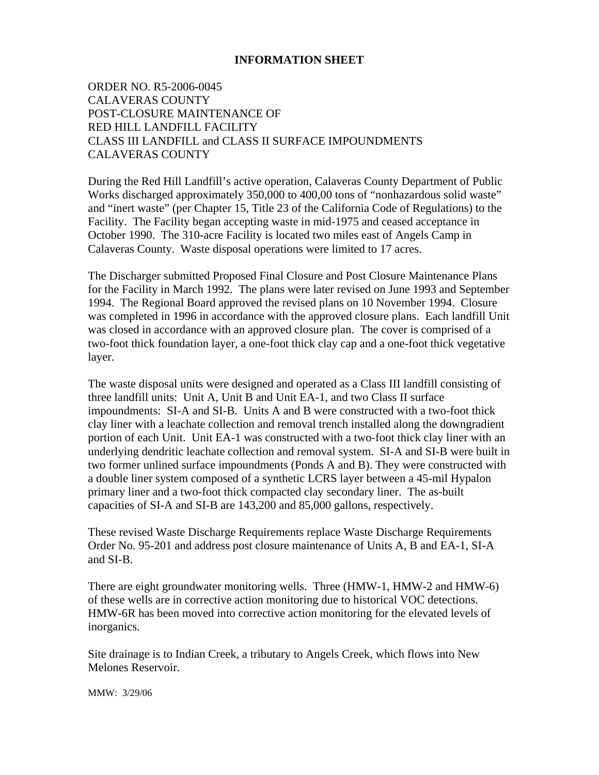#### **INFORMATION SHEET**

ORDER NO. R5-2006-0045 CALAVERAS COUNTY POST-CLOSURE MAINTENANCE OF RED HILL LANDFILL FACILITY CLASS III LANDFILL and CLASS II SURFACE IMPOUNDMENTS CALAVERAS COUNTY

During the Red Hill Landfill's active operation, Calaveras County Department of Public Works discharged approximately 350,000 to 400,00 tons of "nonhazardous solid waste" and "inert waste" (per Chapter 15, Title 23 of the California Code of Regulations) to the Facility. The Facility began accepting waste in mid-1975 and ceased acceptance in October 1990. The 310-acre Facility is located two miles east of Angels Camp in Calaveras County. Waste disposal operations were limited to 17 acres.

The Discharger submitted Proposed Final Closure and Post Closure Maintenance Plans for the Facility in March 1992. The plans were later revised on June 1993 and September 1994. The Regional Board approved the revised plans on 10 November 1994. Closure was completed in 1996 in accordance with the approved closure plans. Each landfill Unit was closed in accordance with an approved closure plan. The cover is comprised of a two-foot thick foundation layer, a one-foot thick clay cap and a one-foot thick vegetative layer.

The waste disposal units were designed and operated as a Class III landfill consisting of three landfill units: Unit A, Unit B and Unit EA-1, and two Class II surface impoundments: SI-A and SI-B. Units A and B were constructed with a two-foot thick clay liner with a leachate collection and removal trench installed along the downgradient portion of each Unit. Unit EA-1 was constructed with a two-foot thick clay liner with an underlying dendritic leachate collection and removal system. SI-A and SI-B were built in two former unlined surface impoundments (Ponds A and B). They were constructed with a double liner system composed of a synthetic LCRS layer between a 45-mil Hypalon primary liner and a two-foot thick compacted clay secondary liner. The as-built capacities of SI-A and SI-B are 143,200 and 85,000 gallons, respectively.

These revised Waste Discharge Requirements replace Waste Discharge Requirements Order No. 95-201 and address post closure maintenance of Units A, B and EA-1, SI-A and SI-B.

There are eight groundwater monitoring wells. Three (HMW-1, HMW-2 and HMW-6) of these wells are in corrective action monitoring due to historical VOC detections. HMW-6R has been moved into corrective action monitoring for the elevated levels of inorganics.

Site drainage is to Indian Creek, a tributary to Angels Creek, which flows into New Melones Reservoir.

MMW: 3/29/06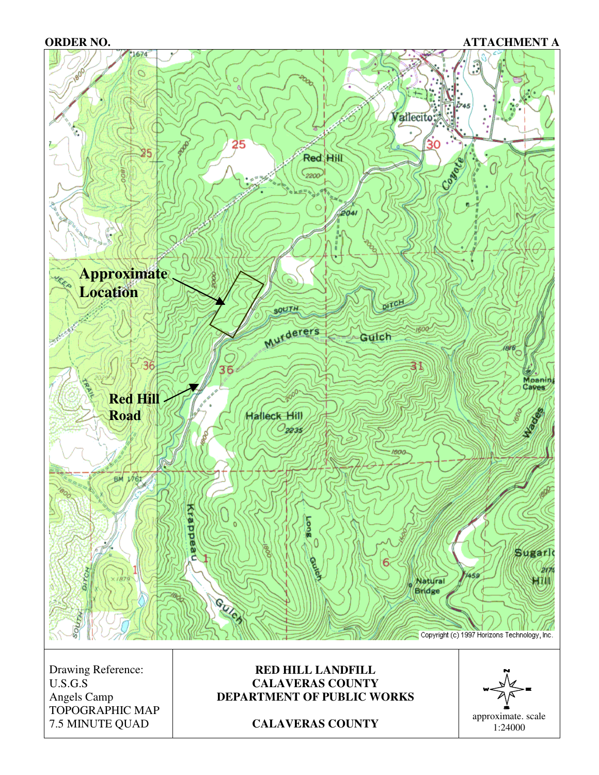#### **ORDER NO. ATTACHMENT A**



TOPOGRAPHIC MAP 7.5 MINUTE QUAD **CALAVERAS COUNTY** approximate. scale 1:24000